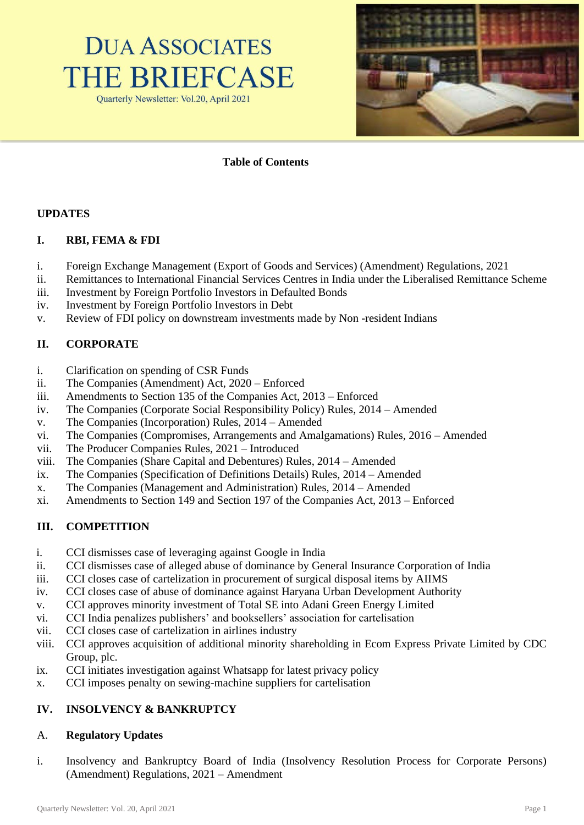



# **Table of Contents**

## **UPDATES**

#### **I. RBI, FEMA & FDI**

- i. Foreign Exchange Management (Export of Goods and Services) (Amendment) Regulations, 2021
- ii. Remittances to International Financial Services Centres in India under the Liberalised Remittance Scheme
- iii. Investment by Foreign Portfolio Investors in Defaulted Bonds
- iv. Investment by Foreign Portfolio Investors in Debt
- v. Review of FDI policy on downstream investments made by Non -resident Indians

## **II. CORPORATE**

- i. Clarification on spending of CSR Funds
- ii. The Companies (Amendment) Act, 2020 Enforced
- iii. Amendments to Section 135 of the Companies Act, 2013 Enforced
- iv. The Companies (Corporate Social Responsibility Policy) Rules, 2014 Amended
- v. The Companies (Incorporation) Rules, 2014 Amended
- vi. The Companies (Compromises, Arrangements and Amalgamations) Rules, 2016 Amended
- vii. The Producer Companies Rules, 2021 Introduced
- viii. The Companies (Share Capital and Debentures) Rules, 2014 Amended
- ix. The Companies (Specification of Definitions Details) Rules, 2014 Amended
- x. The Companies (Management and Administration) Rules, 2014 Amended
- xi. Amendments to Section 149 and Section 197 of the Companies Act, 2013 Enforced

## **III. COMPETITION**

- i. CCI dismisses case of leveraging against Google in India
- ii. CCI dismisses case of alleged abuse of dominance by General Insurance Corporation of India
- iii. CCI closes case of cartelization in procurement of surgical disposal items by AIIMS
- iv. CCI closes case of abuse of dominance against Haryana Urban Development Authority
- v. CCI approves minority investment of Total SE into Adani Green Energy Limited
- vi. CCI India penalizes publishers' and booksellers' association for cartelisation
- vii. CCI closes case of cartelization in airlines industry
- viii. CCI approves acquisition of additional minority shareholding in Ecom Express Private Limited by CDC Group, plc.
- ix. CCI initiates investigation against Whatsapp for latest privacy policy
- x. CCI imposes penalty on sewing-machine suppliers for cartelisation

# **IV. INSOLVENCY & BANKRUPTCY**

## A. **Regulatory Updates**

i. Insolvency and Bankruptcy Board of India (Insolvency Resolution Process for Corporate Persons) (Amendment) Regulations, 2021 – Amendment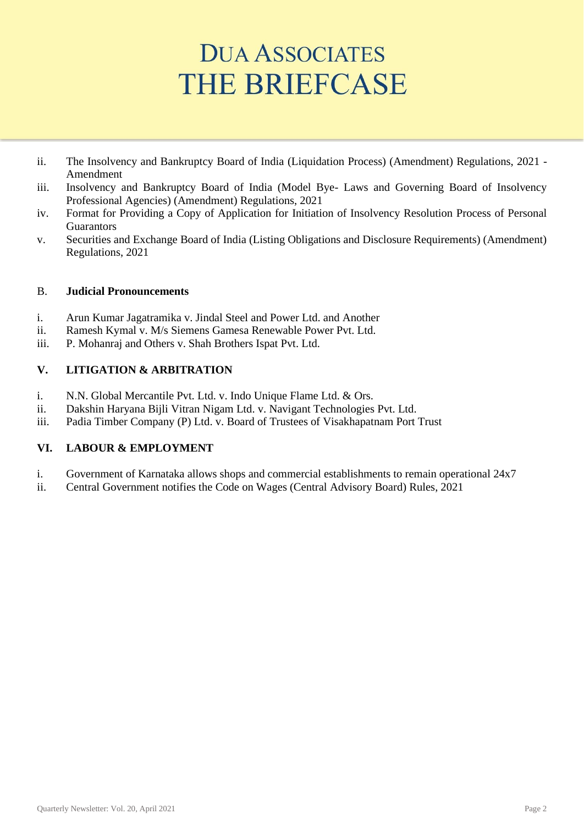- ii. The Insolvency and Bankruptcy Board of India (Liquidation Process) (Amendment) Regulations, 2021 Amendment
- iii. Insolvency and Bankruptcy Board of India (Model Bye- Laws and Governing Board of Insolvency Professional Agencies) (Amendment) Regulations, 2021
- iv. Format for Providing a Copy of Application for Initiation of Insolvency Resolution Process of Personal **Guarantors**
- v. Securities and Exchange Board of India (Listing Obligations and Disclosure Requirements) (Amendment) Regulations, 2021

## B. **Judicial Pronouncements**

- i. Arun Kumar Jagatramika v. Jindal Steel and Power Ltd. and Another
- ii. Ramesh Kymal v. M/s Siemens Gamesa Renewable Power Pvt. Ltd.
- iii. P. Mohanraj and Others v. Shah Brothers Ispat Pvt. Ltd.

## **V. LITIGATION & ARBITRATION**

- i. N.N. Global Mercantile Pvt. Ltd. v. Indo Unique Flame Ltd. & Ors.
- ii. Dakshin Haryana Bijli Vitran Nigam Ltd. v. Navigant Technologies Pvt. Ltd.
- iii. Padia Timber Company (P) Ltd. v. Board of Trustees of Visakhapatnam Port Trust

# **VI. LABOUR & EMPLOYMENT**

- i. Government of Karnataka allows shops and commercial establishments to remain operational 24x7
- ii. Central Government notifies the Code on Wages (Central Advisory Board) Rules, 2021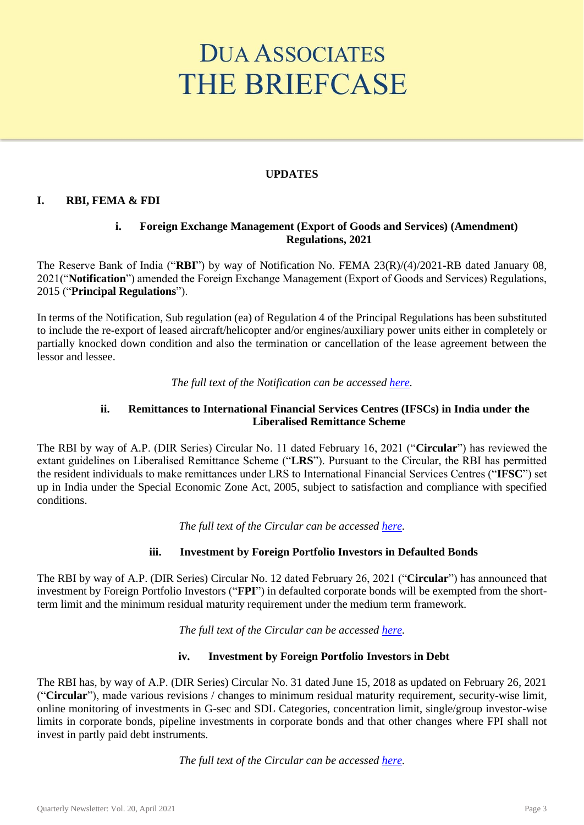## **UPDATES**

## **I. RBI, FEMA & FDI**

## **i. Foreign Exchange Management (Export of Goods and Services) (Amendment) Regulations, 2021**

The Reserve Bank of India ("**RBI**") by way of Notification No. FEMA 23(R)/(4)/2021-RB dated January 08, 2021("**Notification**") amended the Foreign Exchange Management (Export of Goods and Services) Regulations, 2015 ("**Principal Regulations**").

In terms of the Notification, Sub regulation (ea) of Regulation 4 of the Principal Regulations has been substituted to include the re-export of leased aircraft/helicopter and/or engines/auxiliary power units either in completely or partially knocked down condition and also the termination or cancellation of the lease agreement between the lessor and lessee.

#### *The full text of the Notification can be accessed [here.](https://rbidocs.rbi.org.in/rdocs/notification/PDFs/FEMA237A482EDEB9C647469877E7AB32D04EE0.PDF)*

#### **ii. Remittances to International Financial Services Centres (IFSCs) in India under the Liberalised Remittance Scheme**

The RBI by way of A.P. (DIR Series) Circular No. 11 dated February 16, 2021 ("**Circular**") has reviewed the extant guidelines on Liberalised Remittance Scheme ("**LRS**"). Pursuant to the Circular, the RBI has permitted the resident individuals to make remittances under LRS to International Financial Services Centres ("**IFSC**") set up in India under the Special Economic Zone Act, 2005, subject to satisfaction and compliance with specified conditions.

*The full text of the Circular can be accessed [here.](https://rbidocs.rbi.org.in/rdocs/notification/PDFs/NT9952781DE54AA141D3B89703E895DDA10C.PDF)*

## **iii. Investment by Foreign Portfolio Investors in Defaulted Bonds**

The RBI by way of A.P. (DIR Series) Circular No. 12 dated February 26, 2021 ("**Circular**") has announced that investment by Foreign Portfolio Investors ("**FPI**") in defaulted corporate bonds will be exempted from the shortterm limit and the minimum residual maturity requirement under the medium term framework.

*The full text of the Circular can be accessed [here.](https://rbidocs.rbi.org.in/rdocs/notification/PDFs/NT1057E2778B6544441E7BE16C626E211796C.PDF)*

## **iv. Investment by Foreign Portfolio Investors in Debt**

The RBI has, by way of A.P. (DIR Series) Circular No. 31 dated June 15, 2018 as updated on February 26, 2021 ("**Circular**"), made various revisions / changes to minimum residual maturity requirement, security-wise limit, online monitoring of investments in G-sec and SDL Categories, concentration limit, single/group investor-wise limits in corporate bonds, pipeline investments in corporate bonds and that other changes where FPI shall not invest in partly paid debt instruments.

*The full text of the Circular can be accessed [here.](https://rbidocs.rbi.org.in/rdocs/notification/PDFs/NT199035211F142484DEBA657412BFCB17999.PDF)*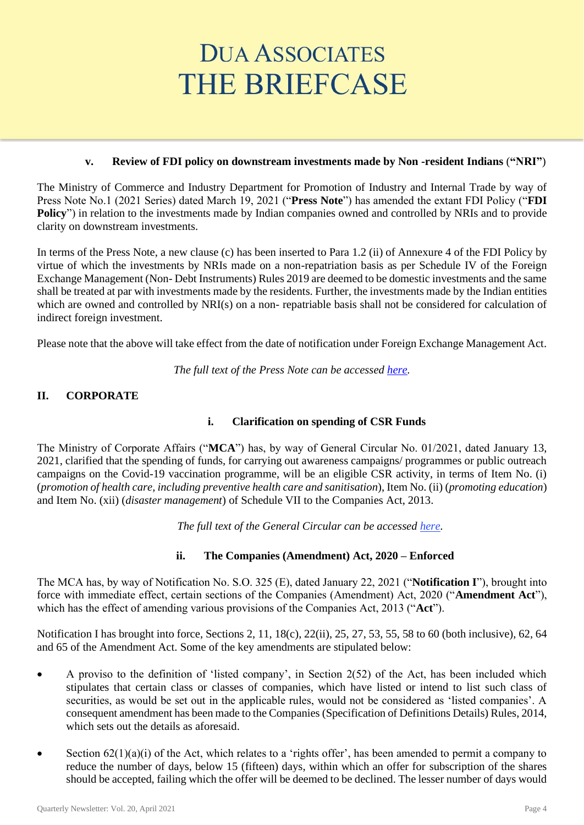## **v. Review of FDI policy on downstream investments made by Non -resident Indians** (**"NRI"**)

The Ministry of Commerce and Industry Department for Promotion of Industry and Internal Trade by way of Press Note No.1 (2021 Series) dated March 19, 2021 ("**Press Note**") has amended the extant FDI Policy ("**FDI**  Policy") in relation to the investments made by Indian companies owned and controlled by NRIs and to provide clarity on downstream investments.

In terms of the Press Note, a new clause (c) has been inserted to Para 1.2 (ii) of Annexure 4 of the FDI Policy by virtue of which the investments by NRIs made on a non-repatriation basis as per Schedule IV of the Foreign Exchange Management (Non- Debt Instruments) Rules 2019 are deemed to be domestic investments and the same shall be treated at par with investments made by the residents. Further, the investments made by the Indian entities which are owned and controlled by NRI(s) on a non- repatriable basis shall not be considered for calculation of indirect foreign investment.

Please note that the above will take effect from the date of notification under Foreign Exchange Management Act.

*The full text of the Press Note can be accessed [here.](https://dipp.gov.in/sites/default/files/pn1-2021.PDF)*

# **II. CORPORATE**

# **i. Clarification on spending of CSR Funds**

The Ministry of Corporate Affairs ("**MCA**") has, by way of General Circular No. 01/2021, dated January 13, 2021, clarified that the spending of funds, for carrying out awareness campaigns/ programmes or public outreach campaigns on the Covid-19 vaccination programme, will be an eligible CSR activity, in terms of Item No. (i) (*promotion of health care, including preventive health care and sanitisation*), Item No. (ii) (*promoting education*) and Item No. (xii) (*disaster management*) of Schedule VII to the Companies Act, 2013.

*The full text of the General Circular can be accessed [here.](http://www.mca.gov.in/Ministry/pdf/CSR2021_13012021.pdf)*

## **ii. The Companies (Amendment) Act, 2020 – Enforced**

The MCA has, by way of Notification No. S.O. 325 (E), dated January 22, 2021 ("**Notification I**"), brought into force with immediate effect, certain sections of the Companies (Amendment) Act, 2020 ("**Amendment Act**"), which has the effect of amending various provisions of the Companies Act, 2013 ("**Act**").

Notification I has brought into force, Sections 2, 11, 18(c), 22(ii), 25, 27, 53, 55, 58 to 60 (both inclusive), 62, 64 and 65 of the Amendment Act. Some of the key amendments are stipulated below:

- A proviso to the definition of 'listed company', in Section 2(52) of the Act, has been included which stipulates that certain class or classes of companies, which have listed or intend to list such class of securities, as would be set out in the applicable rules, would not be considered as 'listed companies'. A consequent amendment has been made to the Companies (Specification of Definitions Details) Rules, 2014, which sets out the details as aforesaid.
- Section  $62(1)(a)(i)$  of the Act, which relates to a 'rights offer', has been amended to permit a company to reduce the number of days, below 15 (fifteen) days, within which an offer for subscription of the shares should be accepted, failing which the offer will be deemed to be declined. The lesser number of days would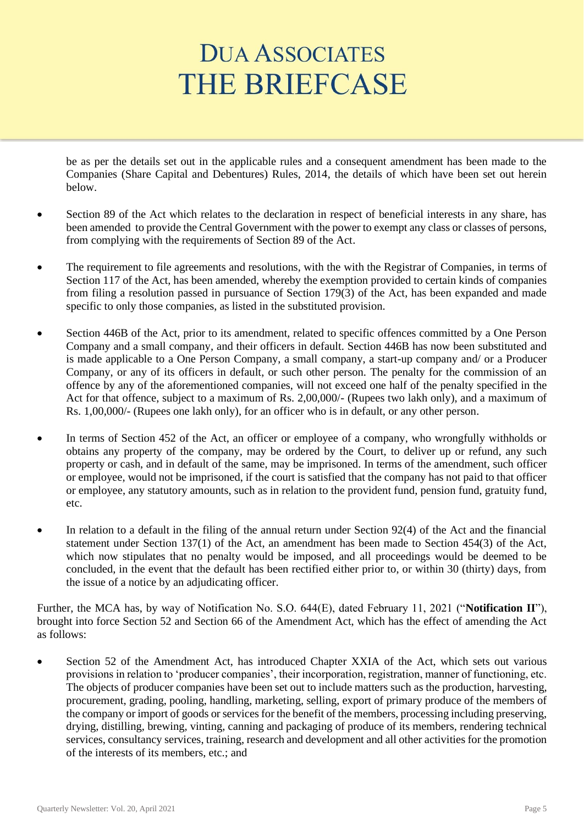be as per the details set out in the applicable rules and a consequent amendment has been made to the Companies (Share Capital and Debentures) Rules, 2014, the details of which have been set out herein below.

- Section 89 of the Act which relates to the declaration in respect of beneficial interests in any share, has been amended to provide the Central Government with the power to exempt any class or classes of persons, from complying with the requirements of Section 89 of the Act.
- The requirement to file agreements and resolutions, with the with the Registrar of Companies, in terms of Section 117 of the Act, has been amended, whereby the exemption provided to certain kinds of companies from filing a resolution passed in pursuance of Section 179(3) of the Act, has been expanded and made specific to only those companies, as listed in the substituted provision.
- Section 446B of the Act, prior to its amendment, related to specific offences committed by a One Person Company and a small company, and their officers in default. Section 446B has now been substituted and is made applicable to a One Person Company, a small company, a start-up company and/ or a Producer Company, or any of its officers in default, or such other person. The penalty for the commission of an offence by any of the aforementioned companies, will not exceed one half of the penalty specified in the Act for that offence, subject to a maximum of Rs. 2,00,000/- (Rupees two lakh only), and a maximum of Rs. 1,00,000/- (Rupees one lakh only), for an officer who is in default, or any other person.
- In terms of Section 452 of the Act, an officer or employee of a company, who wrongfully withholds or obtains any property of the company, may be ordered by the Court, to deliver up or refund, any such property or cash, and in default of the same, may be imprisoned. In terms of the amendment, such officer or employee, would not be imprisoned, if the court is satisfied that the company has not paid to that officer or employee, any statutory amounts, such as in relation to the provident fund, pension fund, gratuity fund, etc.
- In relation to a default in the filing of the annual return under Section 92(4) of the Act and the financial statement under Section 137(1) of the Act, an amendment has been made to Section 454(3) of the Act, which now stipulates that no penalty would be imposed, and all proceedings would be deemed to be concluded, in the event that the default has been rectified either prior to, or within 30 (thirty) days, from the issue of a notice by an adjudicating officer.

Further, the MCA has, by way of Notification No. S.O. 644(E), dated February 11, 2021 ("**Notification II**"), brought into force Section 52 and Section 66 of the Amendment Act, which has the effect of amending the Act as follows:

Section 52 of the Amendment Act, has introduced Chapter XXIA of the Act, which sets out various provisions in relation to 'producer companies', their incorporation, registration, manner of functioning, etc. The objects of producer companies have been set out to include matters such as the production, harvesting, procurement, grading, pooling, handling, marketing, selling, export of primary produce of the members of the company or import of goods or services for the benefit of the members, processing including preserving, drying, distilling, brewing, vinting, canning and packaging of produce of its members, rendering technical services, consultancy services, training, research and development and all other activities for the promotion of the interests of its members, etc.; and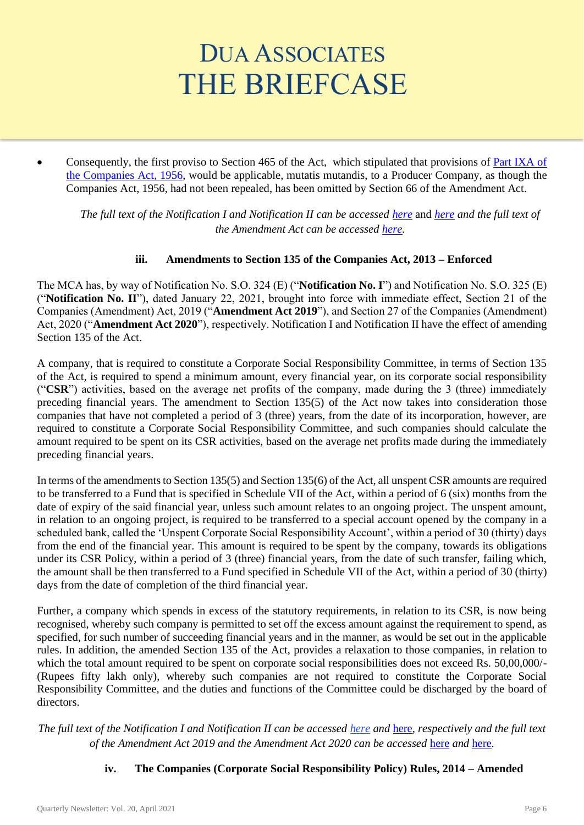Consequently, the first proviso to Section 465 of the Act, which stipulated that provisions of Part IXA of [the Companies Act, 1956,](http://ebook.mca.gov.in/Actpagedisplay.aspx?PAGENAME=26347) would be applicable, mutatis mutandis, to a Producer Company, as though the Companies Act, 1956, had not been repealed, has been omitted by Section 66 of the Amendment Act.

*The full text of the Notification I and Notification II can be accessed [here](http://www.egazette.nic.in/WriteReadData/2021/224637.pdf)* and *[here](http://www.egazette.nic.in/WriteReadData/2021/225115.pdf) and the full text of the Amendment Act can be accessed [here.](http://www.egazette.nic.in/WriteReadData/2020/222070.pdf)*

## **iii. Amendments to Section 135 of the Companies Act, 2013 – Enforced**

The MCA has, by way of Notification No. S.O. 324 (E) ("**Notification No. I**") and Notification No. S.O. 325 (E) ("**Notification No. II**"), dated January 22, 2021, brought into force with immediate effect, Section 21 of the Companies (Amendment) Act, 2019 ("**Amendment Act 2019**"), and Section 27 of the Companies (Amendment) Act, 2020 ("**Amendment Act 2020**"), respectively. Notification I and Notification II have the effect of amending Section 135 of the Act.

A company, that is required to constitute a Corporate Social Responsibility Committee, in terms of Section 135 of the Act, is required to spend a minimum amount, every financial year, on its corporate social responsibility ("**CSR**") activities, based on the average net profits of the company, made during the 3 (three) immediately preceding financial years. The amendment to Section 135(5) of the Act now takes into consideration those companies that have not completed a period of 3 (three) years, from the date of its incorporation, however, are required to constitute a Corporate Social Responsibility Committee, and such companies should calculate the amount required to be spent on its CSR activities, based on the average net profits made during the immediately preceding financial years.

In terms of the amendments to Section 135(5) and Section 135(6) of the Act, all unspent CSR amounts are required to be transferred to a Fund that is specified in Schedule VII of the Act, within a period of 6 (six) months from the date of expiry of the said financial year, unless such amount relates to an ongoing project. The unspent amount, in relation to an ongoing project, is required to be transferred to a special account opened by the company in a scheduled bank, called the 'Unspent Corporate Social Responsibility Account', within a period of 30 (thirty) days from the end of the financial year. This amount is required to be spent by the company, towards its obligations under its CSR Policy, within a period of 3 (three) financial years, from the date of such transfer, failing which, the amount shall be then transferred to a Fund specified in Schedule VII of the Act, within a period of 30 (thirty) days from the date of completion of the third financial year.

Further, a company which spends in excess of the statutory requirements, in relation to its CSR, is now being recognised, whereby such company is permitted to set off the excess amount against the requirement to spend, as specified, for such number of succeeding financial years and in the manner, as would be set out in the applicable rules. In addition, the amended Section 135 of the Act, provides a relaxation to those companies, in relation to which the total amount required to be spent on corporate social responsibilities does not exceed Rs. 50,00,000/-(Rupees fifty lakh only), whereby such companies are not required to constitute the Corporate Social Responsibility Committee, and the duties and functions of the Committee could be discharged by the board of directors.

*The full text of the Notification I and Notification II can be accessed [here](http://egazette.nic.in/WriteReadData/2021/224636.pdf) and* [here](http://www.egazette.nic.in/WriteReadData/2021/224637.pdf)*, respectively and the full text of the Amendment Act 2019 and the Amendment Act 2020 can be accessed* [here](http://egazette.nic.in/WriteReadData/2019/209478.pdf) *and* [here](http://www.egazette.nic.in/WriteReadData/2020/222070.pdf)*.*

# **iv. The Companies (Corporate Social Responsibility Policy) Rules, 2014 – Amended**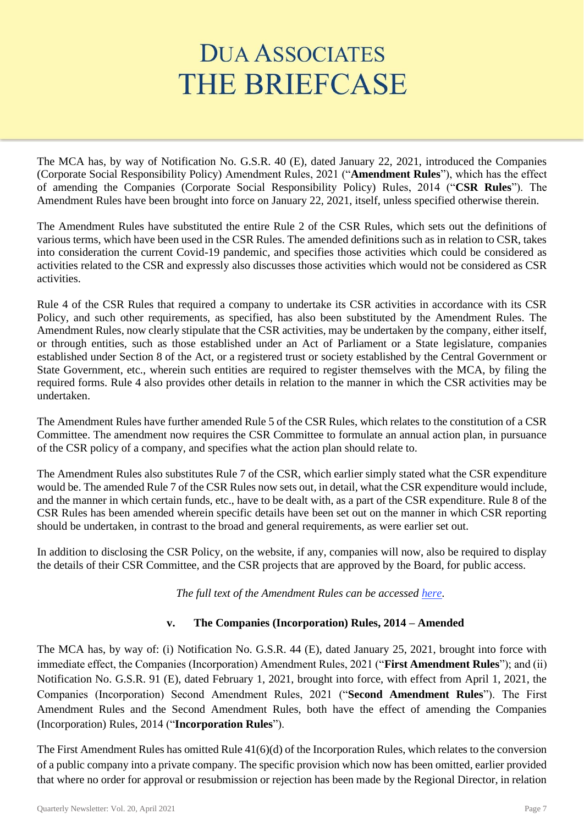The MCA has, by way of Notification No. G.S.R. 40 (E), dated January 22, 2021, introduced the Companies (Corporate Social Responsibility Policy) Amendment Rules, 2021 ("**Amendment Rules**"), which has the effect of amending the Companies (Corporate Social Responsibility Policy) Rules, 2014 ("**CSR Rules**"). The Amendment Rules have been brought into force on January 22, 2021, itself, unless specified otherwise therein.

The Amendment Rules have substituted the entire Rule 2 of the CSR Rules, which sets out the definitions of various terms, which have been used in the CSR Rules. The amended definitions such as in relation to CSR, takes into consideration the current Covid-19 pandemic, and specifies those activities which could be considered as activities related to the CSR and expressly also discusses those activities which would not be considered as CSR activities.

Rule 4 of the CSR Rules that required a company to undertake its CSR activities in accordance with its CSR Policy, and such other requirements, as specified, has also been substituted by the Amendment Rules. The Amendment Rules, now clearly stipulate that the CSR activities, may be undertaken by the company, either itself, or through entities, such as those established under an Act of Parliament or a State legislature, companies established under Section 8 of the Act, or a registered trust or society established by the Central Government or State Government, etc., wherein such entities are required to register themselves with the MCA, by filing the required forms. Rule 4 also provides other details in relation to the manner in which the CSR activities may be undertaken.

The Amendment Rules have further amended Rule 5 of the CSR Rules, which relates to the constitution of a CSR Committee. The amendment now requires the CSR Committee to formulate an annual action plan, in pursuance of the CSR policy of a company, and specifies what the action plan should relate to.

The Amendment Rules also substitutes Rule 7 of the CSR, which earlier simply stated what the CSR expenditure would be. The amended Rule 7 of the CSR Rules now sets out, in detail, what the CSR expenditure would include, and the manner in which certain funds, etc., have to be dealt with, as a part of the CSR expenditure. Rule 8 of the CSR Rules has been amended wherein specific details have been set out on the manner in which CSR reporting should be undertaken, in contrast to the broad and general requirements, as were earlier set out.

In addition to disclosing the CSR Policy, on the website, if any, companies will now, also be required to display the details of their CSR Committee, and the CSR projects that are approved by the Board, for public access.

*The full text of the Amendment Rules can be accessed [here.](http://egazette.nic.in/WriteReadData/2021/224640.pdf)*

# **v. The Companies (Incorporation) Rules, 2014 – Amended**

The MCA has, by way of: (i) Notification No. G.S.R. 44 (E), dated January 25, 2021, brought into force with immediate effect, the Companies (Incorporation) Amendment Rules, 2021 ("**First Amendment Rules**"); and (ii) Notification No. G.S.R. 91 (E), dated February 1, 2021, brought into force, with effect from April 1, 2021, the Companies (Incorporation) Second Amendment Rules, 2021 ("**Second Amendment Rules**"). The First Amendment Rules and the Second Amendment Rules, both have the effect of amending the Companies (Incorporation) Rules, 2014 ("**Incorporation Rules**").

The First Amendment Rules has omitted Rule 41(6)(d) of the Incorporation Rules, which relates to the conversion of a public company into a private company. The specific provision which now has been omitted, earlier provided that where no order for approval or resubmission or rejection has been made by the Regional Director, in relation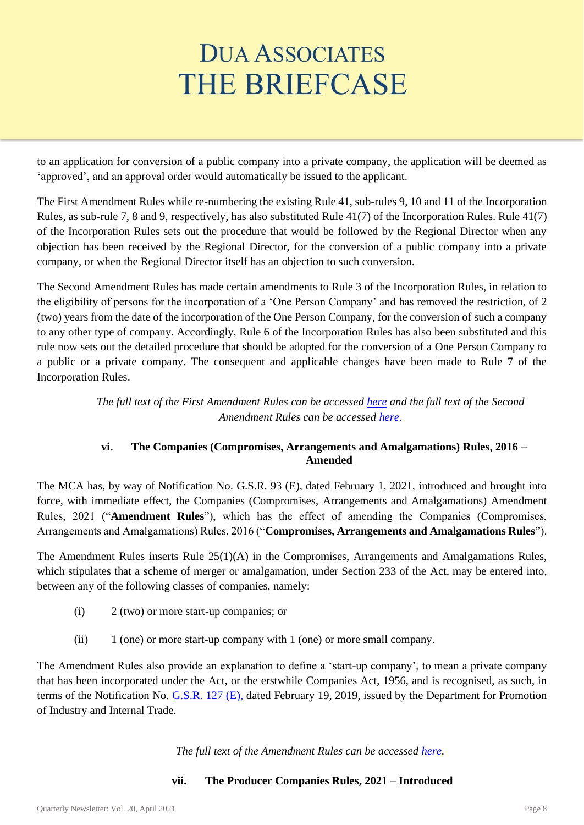to an application for conversion of a public company into a private company, the application will be deemed as 'approved', and an approval order would automatically be issued to the applicant.

The First Amendment Rules while re-numbering the existing Rule 41, sub-rules 9, 10 and 11 of the Incorporation Rules, as sub-rule 7, 8 and 9, respectively, has also substituted Rule 41(7) of the Incorporation Rules. Rule 41(7) of the Incorporation Rules sets out the procedure that would be followed by the Regional Director when any objection has been received by the Regional Director, for the conversion of a public company into a private company, or when the Regional Director itself has an objection to such conversion.

The Second Amendment Rules has made certain amendments to Rule 3 of the Incorporation Rules, in relation to the eligibility of persons for the incorporation of a 'One Person Company' and has removed the restriction, of 2 (two) years from the date of the incorporation of the One Person Company, for the conversion of such a company to any other type of company. Accordingly, Rule 6 of the Incorporation Rules has also been substituted and this rule now sets out the detailed procedure that should be adopted for the conversion of a One Person Company to a public or a private company. The consequent and applicable changes have been made to Rule 7 of the Incorporation Rules.

> *The full text of the First Amendment Rules can be accessed [here](http://egazette.nic.in/WriteReadData/2021/224683.pdf) and the full text of the Second Amendment Rules can be accessed [here.](http://egazette.nic.in/WriteReadData/2021/224872.pdf)*

# **vi. The Companies (Compromises, Arrangements and Amalgamations) Rules, 2016 – Amended**

The MCA has, by way of Notification No. G.S.R. 93 (E), dated February 1, 2021, introduced and brought into force, with immediate effect, the Companies (Compromises, Arrangements and Amalgamations) Amendment Rules, 2021 ("**Amendment Rules**"), which has the effect of amending the Companies (Compromises, Arrangements and Amalgamations) Rules, 2016 ("**Compromises, Arrangements and Amalgamations Rules**").

The Amendment Rules inserts Rule 25(1)(A) in the Compromises, Arrangements and Amalgamations Rules, which stipulates that a scheme of merger or amalgamation, under Section 233 of the Act, may be entered into, between any of the following classes of companies, namely:

- (i) 2 (two) or more start-up companies; or
- $(iii)$  1 (one) or more start-up company with 1 (one) or more small company.

The Amendment Rules also provide an explanation to define a 'start-up company', to mean a private company that has been incorporated under the Act, or the erstwhile Companies Act, 1956, and is recognised, as such, in terms of the Notification No. [G.S.R. 127 \(E\),](https://www.startupindia.gov.in/content/dam/invest-india/Templates/public/198117.pdf) dated February 19, 2019, issued by the Department for Promotion of Industry and Internal Trade.

*The full text of the Amendment Rules can be accessed [here.](http://egazette.nic.in/WriteReadData/2021/224868.pdf)*

# **vii. The Producer Companies Rules, 2021 – Introduced**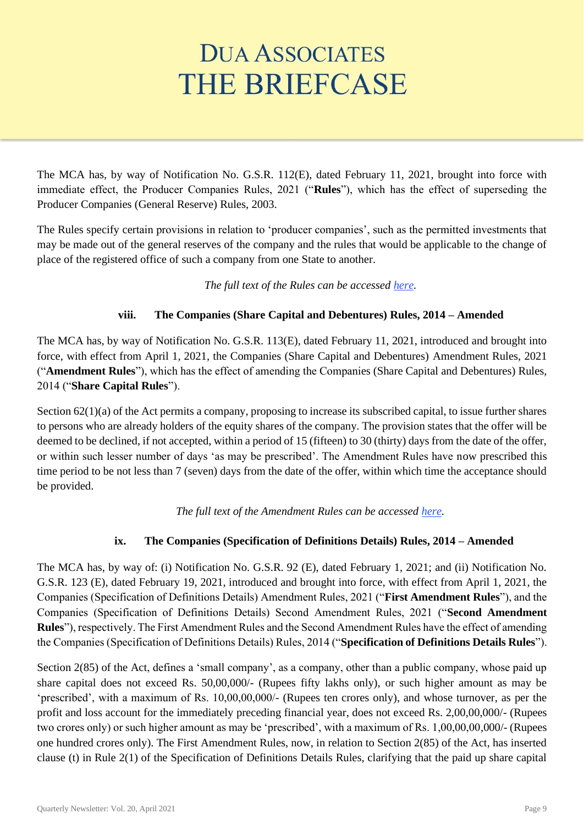The MCA has, by way of Notification No. G.S.R. 112(E), dated February 11, 2021, brought into force with immediate effect, the Producer Companies Rules, 2021 ("**Rules**"), which has the effect of superseding the Producer Companies (General Reserve) Rules, 2003.

The Rules specify certain provisions in relation to 'producer companies', such as the permitted investments that may be made out of the general reserves of the company and the rules that would be applicable to the change of place of the registered office of such a company from one State to another.

*The full text of the Rules can be accessed [here.](http://egazette.nic.in/WriteReadData/2021/225116.pdf)*

# **viii. The Companies (Share Capital and Debentures) Rules, 2014 – Amended**

The MCA has, by way of Notification No. G.S.R. 113(E), dated February 11, 2021, introduced and brought into force, with effect from April 1, 2021, the Companies (Share Capital and Debentures) Amendment Rules, 2021 ("**Amendment Rules**"), which has the effect of amending the Companies (Share Capital and Debentures) Rules, 2014 ("**Share Capital Rules**").

Section 62(1)(a) of the Act permits a company, proposing to increase its subscribed capital, to issue further shares to persons who are already holders of the equity shares of the company. The provision states that the offer will be deemed to be declined, if not accepted, within a period of 15 (fifteen) to 30 (thirty) days from the date of the offer, or within such lesser number of days 'as may be prescribed'. The Amendment Rules have now prescribed this time period to be not less than 7 (seven) days from the date of the offer, within which time the acceptance should be provided.

*The full text of the Amendment Rules can be accessed [here.](http://egazette.nic.in/WriteReadData/2021/225109.pdf)*

# **ix. The Companies (Specification of Definitions Details) Rules, 2014 – Amended**

The MCA has, by way of: (i) Notification No. G.S.R. 92 (E), dated February 1, 2021; and (ii) Notification No. G.S.R. 123 (E), dated February 19, 2021, introduced and brought into force, with effect from April 1, 2021, the Companies (Specification of Definitions Details) Amendment Rules, 2021 ("**First Amendment Rules**"), and the Companies (Specification of Definitions Details) Second Amendment Rules, 2021 ("**Second Amendment Rules**"), respectively. The First Amendment Rules and the Second Amendment Rules have the effect of amending the Companies (Specification of Definitions Details) Rules, 2014 ("**Specification of Definitions Details Rules**").

Section 2(85) of the Act, defines a 'small company', as a company, other than a public company, whose paid up share capital does not exceed Rs. 50,00,000/- (Rupees fifty lakhs only), or such higher amount as may be 'prescribed', with a maximum of Rs. 10,00,00,000/- (Rupees ten crores only), and whose turnover, as per the profit and loss account for the immediately preceding financial year, does not exceed Rs. 2,00,00,000/- (Rupees two crores only) or such higher amount as may be 'prescribed', with a maximum of Rs. 1,00,00,00,000/- (Rupees one hundred crores only). The First Amendment Rules, now, in relation to Section 2(85) of the Act, has inserted clause (t) in Rule 2(1) of the Specification of Definitions Details Rules, clarifying that the paid up share capital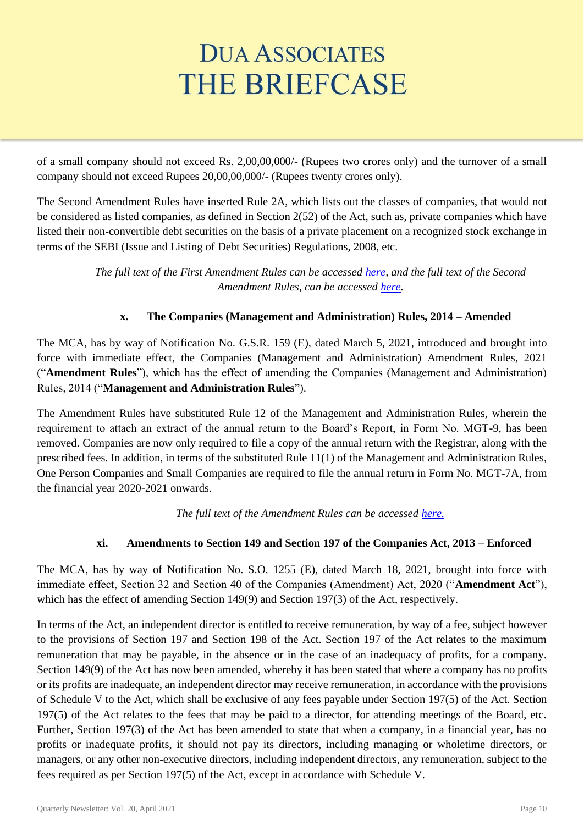of a small company should not exceed Rs. 2,00,00,000/- (Rupees two crores only) and the turnover of a small company should not exceed Rupees 20,00,00,000/- (Rupees twenty crores only).

The Second Amendment Rules have inserted Rule 2A, which lists out the classes of companies, that would not be considered as listed companies, as defined in Section 2(52) of the Act, such as, private companies which have listed their non-convertible debt securities on the basis of a private placement on a recognized stock exchange in terms of the SEBI (Issue and Listing of Debt Securities) Regulations, 2008, etc.

> *The full text of the First Amendment Rules can be accessed [here,](http://egazette.nic.in/WriteReadData/2021/224862.pdf) and the full text of the Second Amendment Rules, can be accessed [here.](http://egazette.nic.in/WriteReadData/2021/225287.pdf)*

# **x. The Companies (Management and Administration) Rules, 2014 – Amended**

The MCA, has by way of Notification No. G.S.R. 159 (E), dated March 5, 2021, introduced and brought into force with immediate effect, the Companies (Management and Administration) Amendment Rules, 2021 ("**Amendment Rules**"), which has the effect of amending the Companies (Management and Administration) Rules, 2014 ("**Management and Administration Rules**").

The Amendment Rules have substituted Rule 12 of the Management and Administration Rules, wherein the requirement to attach an extract of the annual return to the Board's Report, in Form No. MGT-9, has been removed. Companies are now only required to file a copy of the annual return with the Registrar, along with the prescribed fees. In addition, in terms of the substituted Rule 11(1) of the Management and Administration Rules, One Person Companies and Small Companies are required to file the annual return in Form No. MGT-7A, from the financial year 2020-2021 onwards.

*The full text of the Amendment Rules can be accessed [here.](http://egazette.nic.in/WriteReadData/2021/225718.pdf)*

# **xi. Amendments to Section 149 and Section 197 of the Companies Act, 2013 – Enforced**

The MCA, has by way of Notification No. S.O. 1255 (E), dated March 18, 2021, brought into force with immediate effect, Section 32 and Section 40 of the Companies (Amendment) Act, 2020 ("**Amendment Act**"), which has the effect of amending Section 149(9) and Section 197(3) of the Act, respectively.

In terms of the Act, an independent director is entitled to receive remuneration, by way of a fee, subject however to the provisions of Section 197 and Section 198 of the Act. Section 197 of the Act relates to the maximum remuneration that may be payable, in the absence or in the case of an inadequacy of profits, for a company. Section 149(9) of the Act has now been amended, whereby it has been stated that where a company has no profits or its profits are inadequate, an independent director may receive remuneration, in accordance with the provisions of Schedule V to the Act, which shall be exclusive of any fees payable under Section 197(5) of the Act. Section 197(5) of the Act relates to the fees that may be paid to a director, for attending meetings of the Board, etc. Further, Section 197(3) of the Act has been amended to state that when a company, in a financial year, has no profits or inadequate profits, it should not pay its directors, including managing or wholetime directors, or managers, or any other non-executive directors, including independent directors, any remuneration, subject to the fees required as per Section 197(5) of the Act, except in accordance with Schedule V.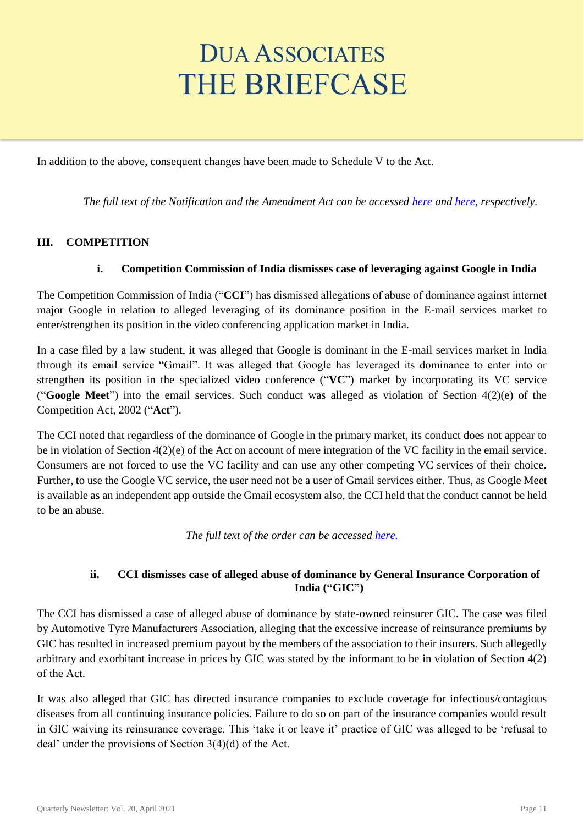In addition to the above, consequent changes have been made to Schedule V to the Act.

*The full text of the Notification and the Amendment Act can be accessed [here](http://www.egazette.nic.in/WriteReadData/2021/225990.pdf) an[d here,](http://www.egazette.nic.in/WriteReadData/2020/222070.pdf) respectively.*

## **III. COMPETITION**

## **i. Competition Commission of India dismisses case of leveraging against Google in India**

The Competition Commission of India ("**CCI**") has dismissed allegations of abuse of dominance against internet major Google in relation to alleged leveraging of its dominance position in the E-mail services market to enter/strengthen its position in the video conferencing application market in India.

In a case filed by a law student, it was alleged that Google is dominant in the E-mail services market in India through its email service "Gmail". It was alleged that Google has leveraged its dominance to enter into or strengthen its position in the specialized video conference ("**VC**") market by incorporating its VC service ("**Google Meet**") into the email services. Such conduct was alleged as violation of Section 4(2)(e) of the Competition Act, 2002 ("**Act**").

The CCI noted that regardless of the dominance of Google in the primary market, its conduct does not appear to be in violation of Section 4(2)(e) of the Act on account of mere integration of the VC facility in the email service. Consumers are not forced to use the VC facility and can use any other competing VC services of their choice. Further, to use the Google VC service, the user need not be a user of Gmail services either. Thus, as Google Meet is available as an independent app outside the Gmail ecosystem also, the CCI held that the conduct cannot be held to be an abuse.

*The full text of the order can be accessed [here.](https://www.cci.gov.in/sites/default/files/39-of-2020.pdf)*

## **ii. CCI dismisses case of alleged abuse of dominance by General Insurance Corporation of India ("GIC")**

The CCI has dismissed a case of alleged abuse of dominance by state-owned reinsurer GIC. The case was filed by Automotive Tyre Manufacturers Association, alleging that the excessive increase of reinsurance premiums by GIC has resulted in increased premium payout by the members of the association to their insurers. Such allegedly arbitrary and exorbitant increase in prices by GIC was stated by the informant to be in violation of Section 4(2) of the Act.

It was also alleged that GIC has directed insurance companies to exclude coverage for infectious/contagious diseases from all continuing insurance policies. Failure to do so on part of the insurance companies would result in GIC waiving its reinsurance coverage. This 'take it or leave it' practice of GIC was alleged to be 'refusal to deal' under the provisions of Section 3(4)(d) of the Act.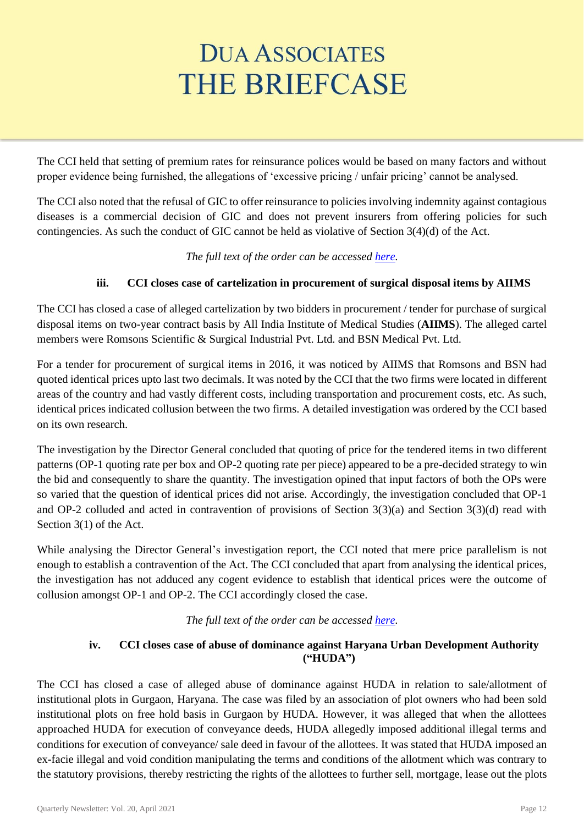The CCI held that setting of premium rates for reinsurance polices would be based on many factors and without proper evidence being furnished, the allegations of 'excessive pricing / unfair pricing' cannot be analysed.

The CCI also noted that the refusal of GIC to offer reinsurance to policies involving indemnity against contagious diseases is a commercial decision of GIC and does not prevent insurers from offering policies for such contingencies. As such the conduct of GIC cannot be held as violative of Section 3(4)(d) of the Act.

# *The full text of the order can be accessed [here.](https://www.cci.gov.in/sites/default/files/21-of-2020.pdf)*

# **iii. CCI closes case of cartelization in procurement of surgical disposal items by AIIMS**

The CCI has closed a case of alleged cartelization by two bidders in procurement / tender for purchase of surgical disposal items on two-year contract basis by All India Institute of Medical Studies (**AIIMS**). The alleged cartel members were Romsons Scientific & Surgical Industrial Pvt. Ltd. and BSN Medical Pvt. Ltd.

For a tender for procurement of surgical items in 2016, it was noticed by AIIMS that Romsons and BSN had quoted identical prices upto last two decimals. It was noted by the CCI that the two firms were located in different areas of the country and had vastly different costs, including transportation and procurement costs, etc. As such, identical prices indicated collusion between the two firms. A detailed investigation was ordered by the CCI based on its own research.

The investigation by the Director General concluded that quoting of price for the tendered items in two different patterns (OP-1 quoting rate per box and OP-2 quoting rate per piece) appeared to be a pre-decided strategy to win the bid and consequently to share the quantity. The investigation opined that input factors of both the OPs were so varied that the question of identical prices did not arise. Accordingly, the investigation concluded that OP-1 and OP-2 colluded and acted in contravention of provisions of Section 3(3)(a) and Section 3(3)(d) read with Section 3(1) of the Act.

While analysing the Director General's investigation report, the CCI noted that mere price parallelism is not enough to establish a contravention of the Act. The CCI concluded that apart from analysing the identical prices, the investigation has not adduced any cogent evidence to establish that identical prices were the outcome of collusion amongst OP-1 and OP-2. The CCI accordingly closed the case.

# *The full text of the order can be accessed [here.](https://www.cci.gov.in/sites/default/files/SuoMoto01-2018.pdf)*

## **iv. CCI closes case of abuse of dominance against Haryana Urban Development Authority ("HUDA")**

The CCI has closed a case of alleged abuse of dominance against HUDA in relation to sale/allotment of institutional plots in Gurgaon, Haryana. The case was filed by an association of plot owners who had been sold institutional plots on free hold basis in Gurgaon by HUDA. However, it was alleged that when the allottees approached HUDA for execution of conveyance deeds, HUDA allegedly imposed additional illegal terms and conditions for execution of conveyance/ sale deed in favour of the allottees. It was stated that HUDA imposed an ex-facie illegal and void condition manipulating the terms and conditions of the allotment which was contrary to the statutory provisions, thereby restricting the rights of the allottees to further sell, mortgage, lease out the plots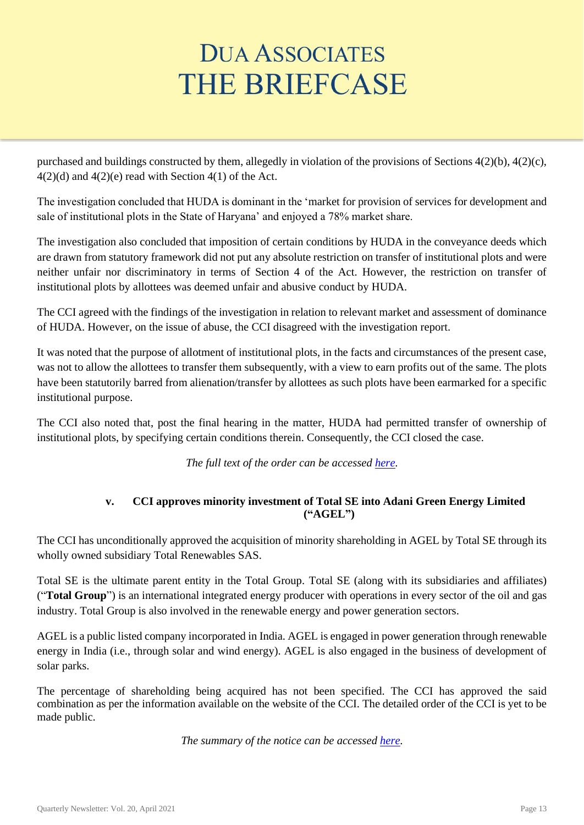purchased and buildings constructed by them, allegedly in violation of the provisions of Sections 4(2)(b), 4(2)(c),  $4(2)(d)$  and  $4(2)(e)$  read with Section  $4(1)$  of the Act.

The investigation concluded that HUDA is dominant in the 'market for provision of services for development and sale of institutional plots in the State of Haryana' and enjoyed a 78% market share.

The investigation also concluded that imposition of certain conditions by HUDA in the conveyance deeds which are drawn from statutory framework did not put any absolute restriction on transfer of institutional plots and were neither unfair nor discriminatory in terms of Section 4 of the Act. However, the restriction on transfer of institutional plots by allottees was deemed unfair and abusive conduct by HUDA.

The CCI agreed with the findings of the investigation in relation to relevant market and assessment of dominance of HUDA. However, on the issue of abuse, the CCI disagreed with the investigation report.

It was noted that the purpose of allotment of institutional plots, in the facts and circumstances of the present case, was not to allow the allottees to transfer them subsequently, with a view to earn profits out of the same. The plots have been statutorily barred from alienation/transfer by allottees as such plots have been earmarked for a specific institutional purpose.

The CCI also noted that, post the final hearing in the matter, HUDA had permitted transfer of ownership of institutional plots, by specifying certain conditions therein. Consequently, the CCI closed the case.

*The full text of the order can be accessed [here.](https://www.cci.gov.in/sites/default/files/94-of-2016.pdf)*

# **v. CCI approves minority investment of Total SE into Adani Green Energy Limited ("AGEL")**

The CCI has unconditionally approved the acquisition of minority shareholding in AGEL by Total SE through its wholly owned subsidiary Total Renewables SAS.

Total SE is the ultimate parent entity in the Total Group. Total SE (along with its subsidiaries and affiliates) ("**Total Group**") is an international integrated energy producer with operations in every sector of the oil and gas industry. Total Group is also involved in the renewable energy and power generation sectors.

AGEL is a public listed company incorporated in India. AGEL is engaged in power generation through renewable energy in India (i.e., through solar and wind energy). AGEL is also engaged in the business of development of solar parks.

The percentage of shareholding being acquired has not been specified. The CCI has approved the said combination as per the information available on the website of the CCI. The detailed order of the CCI is yet to be made public.

*The summary of the notice can be accessed [here.](https://www.cci.gov.in/sites/default/files/notice_order_summary_doc/SummaryC-2020-12-800.pdf)*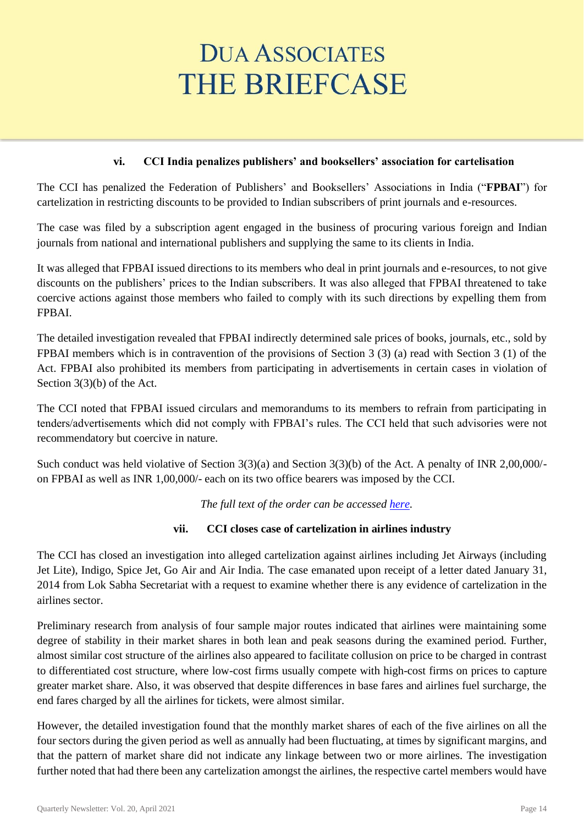## **vi. CCI India penalizes publishers' and booksellers' association for cartelisation**

The CCI has penalized the Federation of Publishers' and Booksellers' Associations in India ("**FPBAI**") for cartelization in restricting discounts to be provided to Indian subscribers of print journals and e-resources.

The case was filed by a subscription agent engaged in the business of procuring various foreign and Indian journals from national and international publishers and supplying the same to its clients in India.

It was alleged that FPBAI issued directions to its members who deal in print journals and e-resources, to not give discounts on the publishers' prices to the Indian subscribers. It was also alleged that FPBAI threatened to take coercive actions against those members who failed to comply with its such directions by expelling them from FPBAI.

The detailed investigation revealed that FPBAI indirectly determined sale prices of books, journals, etc., sold by FPBAI members which is in contravention of the provisions of Section 3 (3) (a) read with Section 3 (1) of the Act. FPBAI also prohibited its members from participating in advertisements in certain cases in violation of Section 3(3)(b) of the Act.

The CCI noted that FPBAI issued circulars and memorandums to its members to refrain from participating in tenders/advertisements which did not comply with FPBAI's rules. The CCI held that such advisories were not recommendatory but coercive in nature.

Such conduct was held violative of Section 3(3)(a) and Section 3(3)(b) of the Act. A penalty of INR 2,00,000/on FPBAI as well as INR 1,00,000/- each on its two office bearers was imposed by the CCI.

*The full text of the order can be accessed [here.](https://www.cci.gov.in/sites/default/files/33-of-2019_0.pdf)*

## **vii. CCI closes case of cartelization in airlines industry**

The CCI has closed an investigation into alleged cartelization against airlines including Jet Airways (including Jet Lite), Indigo, Spice Jet, Go Air and Air India. The case emanated upon receipt of a letter dated January 31, 2014 from Lok Sabha Secretariat with a request to examine whether there is any evidence of cartelization in the airlines sector.

Preliminary research from analysis of four sample major routes indicated that airlines were maintaining some degree of stability in their market shares in both lean and peak seasons during the examined period. Further, almost similar cost structure of the airlines also appeared to facilitate collusion on price to be charged in contrast to differentiated cost structure, where low-cost firms usually compete with high-cost firms on prices to capture greater market share. Also, it was observed that despite differences in base fares and airlines fuel surcharge, the end fares charged by all the airlines for tickets, were almost similar.

However, the detailed investigation found that the monthly market shares of each of the five airlines on all the four sectors during the given period as well as annually had been fluctuating, at times by significant margins, and that the pattern of market share did not indicate any linkage between two or more airlines. The investigation further noted that had there been any cartelization amongst the airlines, the respective cartel members would have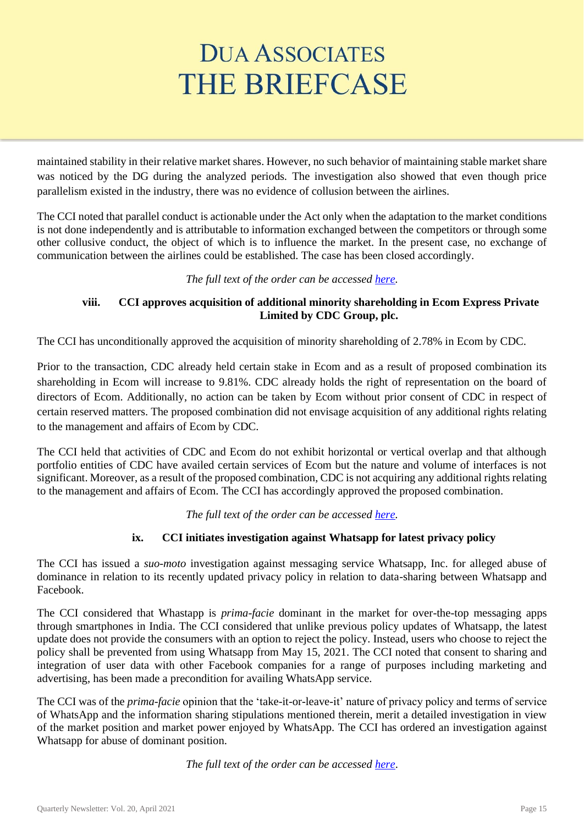maintained stability in their relative market shares. However, no such behavior of maintaining stable market share was noticed by the DG during the analyzed periods. The investigation also showed that even though price parallelism existed in the industry, there was no evidence of collusion between the airlines.

The CCI noted that parallel conduct is actionable under the Act only when the adaptation to the market conditions is not done independently and is attributable to information exchanged between the competitors or through some other collusive conduct, the object of which is to influence the market. In the present case, no exchange of communication between the airlines could be established. The case has been closed accordingly.

## *The full text of the order can be accessed [here.](https://www.cci.gov.in/sites/default/files/03-of-2015.pdf)*

# **viii. CCI approves acquisition of additional minority shareholding in Ecom Express Private Limited by CDC Group, plc.**

The CCI has unconditionally approved the acquisition of minority shareholding of 2.78% in Ecom by CDC.

Prior to the transaction, CDC already held certain stake in Ecom and as a result of proposed combination its shareholding in Ecom will increase to 9.81%. CDC already holds the right of representation on the board of directors of Ecom. Additionally, no action can be taken by Ecom without prior consent of CDC in respect of certain reserved matters. The proposed combination did not envisage acquisition of any additional rights relating to the management and affairs of Ecom by CDC.

The CCI held that activities of CDC and Ecom do not exhibit horizontal or vertical overlap and that although portfolio entities of CDC have availed certain services of Ecom but the nature and volume of interfaces is not significant. Moreover, as a result of the proposed combination, CDC is not acquiring any additional rights relating to the management and affairs of Ecom. The CCI has accordingly approved the proposed combination.

*The full text of the order can be accessed [here.](https://www.cci.gov.in/sites/default/files/Notice_order_document/Order-808.pdf)*

# **ix. CCI initiates investigation against Whatsapp for latest privacy policy**

The CCI has issued a *suo-moto* investigation against messaging service Whatsapp, Inc. for alleged abuse of dominance in relation to its recently updated privacy policy in relation to data-sharing between Whatsapp and Facebook.

The CCI considered that Whastapp is *prima-facie* dominant in the market for over-the-top messaging apps through smartphones in India. The CCI considered that unlike previous policy updates of Whatsapp, the latest update does not provide the consumers with an option to reject the policy. Instead, users who choose to reject the policy shall be prevented from using Whatsapp from May 15, 2021. The CCI noted that consent to sharing and integration of user data with other Facebook companies for a range of purposes including marketing and advertising, has been made a precondition for availing WhatsApp service.

The CCI was of the *prima-facie* opinion that the 'take-it-or-leave-it' nature of privacy policy and terms of service of WhatsApp and the information sharing stipulations mentioned therein, merit a detailed investigation in view of the market position and market power enjoyed by WhatsApp. The CCI has ordered an investigation against Whatsapp for abuse of dominant position.

*The full text of the order can be accessed [here](https://www.cci.gov.in/sites/default/files/SM01of2021_0.pdf)*.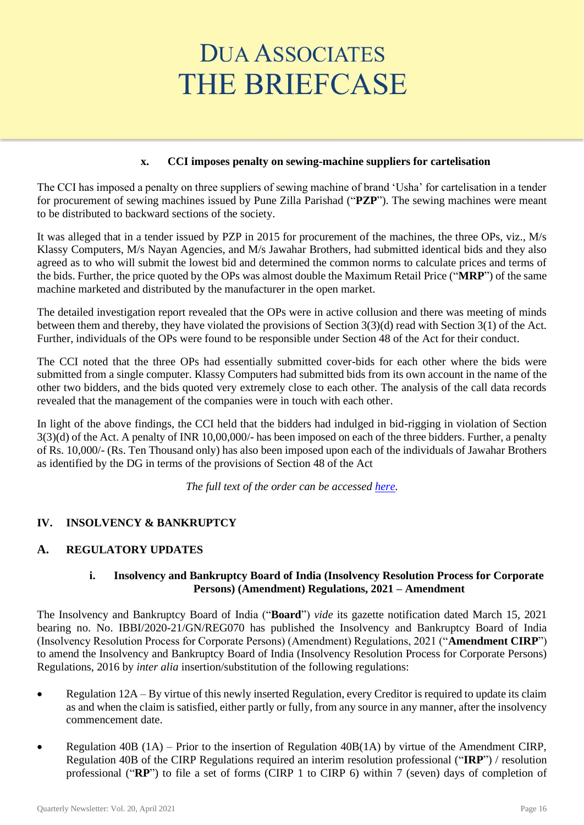## **x. CCI imposes penalty on sewing-machine suppliers for cartelisation**

The CCI has imposed a penalty on three suppliers of sewing machine of brand 'Usha' for cartelisation in a tender for procurement of sewing machines issued by Pune Zilla Parishad ("**PZP**"). The sewing machines were meant to be distributed to backward sections of the society.

It was alleged that in a tender issued by PZP in 2015 for procurement of the machines, the three OPs, viz., M/s Klassy Computers, M/s Nayan Agencies, and M/s Jawahar Brothers, had submitted identical bids and they also agreed as to who will submit the lowest bid and determined the common norms to calculate prices and terms of the bids. Further, the price quoted by the OPs was almost double the Maximum Retail Price ("**MRP**") of the same machine marketed and distributed by the manufacturer in the open market.

The detailed investigation report revealed that the OPs were in active collusion and there was meeting of minds between them and thereby, they have violated the provisions of Section 3(3)(d) read with Section 3(1) of the Act. Further, individuals of the OPs were found to be responsible under Section 48 of the Act for their conduct.

The CCI noted that the three OPs had essentially submitted cover-bids for each other where the bids were submitted from a single computer. Klassy Computers had submitted bids from its own account in the name of the other two bidders, and the bids quoted very extremely close to each other. The analysis of the call data records revealed that the management of the companies were in touch with each other.

In light of the above findings, the CCI held that the bidders had indulged in bid-rigging in violation of Section 3(3)(d) of the Act. A penalty of INR 10,00,000/- has been imposed on each of the three bidders. Further, a penalty of Rs. 10,000/- (Rs. Ten Thousand only) has also been imposed upon each of the individuals of Jawahar Brothers as identified by the DG in terms of the provisions of Section 48 of the Act

*The full text of the order can be accessed [here.](https://www.cci.gov.in/sites/default/files/90-of-2016.pdf)*

# **IV. INSOLVENCY & BANKRUPTCY**

# **A. REGULATORY UPDATES**

## **i. Insolvency and Bankruptcy Board of India (Insolvency Resolution Process for Corporate Persons) (Amendment) Regulations, 2021 – Amendment**

The Insolvency and Bankruptcy Board of India ("**Board**") *vide* its gazette notification dated March 15, 2021 bearing no. No. IBBI/2020-21/GN/REG070 has published the Insolvency and Bankruptcy Board of India (Insolvency Resolution Process for Corporate Persons) (Amendment) Regulations, 2021 ("**Amendment CIRP**") to amend the Insolvency and Bankruptcy Board of India (Insolvency Resolution Process for Corporate Persons) Regulations, 2016 by *inter alia* insertion/substitution of the following regulations:

- Regulation 12A By virtue of this newly inserted Regulation, every Creditor is required to update its claim as and when the claim is satisfied, either partly or fully, from any source in any manner, after the insolvency commencement date.
- Regulation 40B (1A) Prior to the insertion of Regulation 40B(1A) by virtue of the Amendment CIRP, Regulation 40B of the CIRP Regulations required an interim resolution professional ("**IRP**") / resolution professional ("**RP**") to file a set of forms (CIRP 1 to CIRP 6) within 7 (seven) days of completion of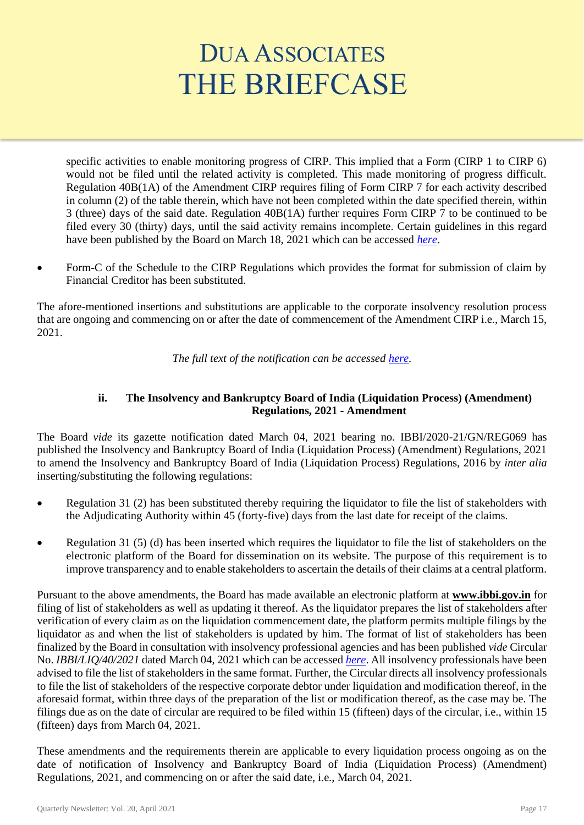specific activities to enable monitoring progress of CIRP. This implied that a Form (CIRP 1 to CIRP 6) would not be filed until the related activity is completed. This made monitoring of progress difficult. Regulation 40B(1A) of the Amendment CIRP requires filing of Form CIRP 7 for each activity described in column (2) of the table therein, which have not been completed within the date specified therein, within 3 (three) days of the said date. Regulation 40B(1A) further requires Form CIRP 7 to be continued to be filed every 30 (thirty) days, until the said activity remains incomplete. Certain guidelines in this regard have been published by the Board on March 18, 2021 which can be accessed *[here](https://ibbi.gov.in/uploads/legalframwork/a763e90e0d3702df78bd15e5947c44fb.pdf)*.

Form-C of the Schedule to the CIRP Regulations which provides the format for submission of claim by Financial Creditor has been substituted.

The afore-mentioned insertions and substitutions are applicable to the corporate insolvency resolution process that are ongoing and commencing on or after the date of commencement of the Amendment CIRP i.e., March 15, 2021.

*The full text of the notification can be accessed [here.](https://ibbi.gov.in/uploads/legalframwork/32795d31dcbe1c6f81318044a753bd71.pdf)*

## **ii. The Insolvency and Bankruptcy Board of India (Liquidation Process) (Amendment) Regulations, 2021 - Amendment**

The Board *vide* its gazette notification dated March 04, 2021 bearing no. IBBI/2020-21/GN/REG069 has published the Insolvency and Bankruptcy Board of India (Liquidation Process) (Amendment) Regulations, 2021 to amend the Insolvency and Bankruptcy Board of India (Liquidation Process) Regulations, 2016 by *inter alia* inserting/substituting the following regulations:

- Regulation 31 (2) has been substituted thereby requiring the liquidator to file the list of stakeholders with the Adjudicating Authority within 45 (forty-five) days from the last date for receipt of the claims.
- Regulation 31 (5) (d) has been inserted which requires the liquidator to file the list of stakeholders on the electronic platform of the Board for dissemination on its website. The purpose of this requirement is to improve transparency and to enable stakeholders to ascertain the details of their claims at a central platform.

Pursuant to the above amendments, the Board has made available an electronic platform at **www.ibbi.gov.in** for filing of list of stakeholders as well as updating it thereof. As the liquidator prepares the list of stakeholders after verification of every claim as on the liquidation commencement date, the platform permits multiple filings by the liquidator as and when the list of stakeholders is updated by him. The format of list of stakeholders has been finalized by the Board in consultation with insolvency professional agencies and has been published *vide* Circular No. *IBBI/LIQ/40/2021* dated March 04, 2021 which can be accessed *[here](https://ibbi.gov.in/uploads/legalframwork/5457f159db9f13f9b59e818fe08e3de9.pdf)*. All insolvency professionals have been advised to file the list of stakeholders in the same format. Further, the Circular directs all insolvency professionals to file the list of stakeholders of the respective corporate debtor under liquidation and modification thereof, in the aforesaid format, within three days of the preparation of the list or modification thereof, as the case may be. The filings due as on the date of circular are required to be filed within 15 (fifteen) days of the circular, i.e., within 15 (fifteen) days from March 04, 2021.

These amendments and the requirements therein are applicable to every liquidation process ongoing as on the date of notification of Insolvency and Bankruptcy Board of India (Liquidation Process) (Amendment) Regulations, 2021, and commencing on or after the said date, i.e., March 04, 2021.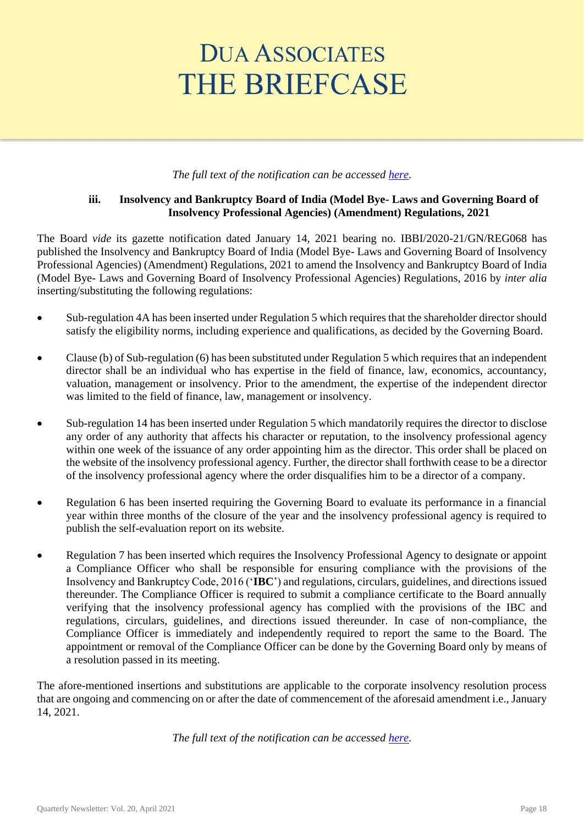#### *The full text of the notification can be accessed [here.](https://ibbi.gov.in/uploads/legalframwork/2a0408cf690dc73b21a2faa8805281fe.pdf)*

## **iii. Insolvency and Bankruptcy Board of India (Model Bye- Laws and Governing Board of Insolvency Professional Agencies) (Amendment) Regulations, 2021**

The Board *vide* its gazette notification dated January 14, 2021 bearing no. IBBI/2020-21/GN/REG068 has published the Insolvency and Bankruptcy Board of India (Model Bye- Laws and Governing Board of Insolvency Professional Agencies) (Amendment) Regulations, 2021 to amend the Insolvency and Bankruptcy Board of India (Model Bye- Laws and Governing Board of Insolvency Professional Agencies) Regulations, 2016 by *inter alia* inserting/substituting the following regulations:

- Sub-regulation 4A has been inserted under Regulation 5 which requires that the shareholder director should satisfy the eligibility norms, including experience and qualifications, as decided by the Governing Board.
- Clause (b) of Sub-regulation (6) has been substituted under Regulation 5 which requires that an independent director shall be an individual who has expertise in the field of finance, law, economics, accountancy, valuation, management or insolvency. Prior to the amendment, the expertise of the independent director was limited to the field of finance, law, management or insolvency.
- Sub-regulation 14 has been inserted under Regulation 5 which mandatorily requires the director to disclose any order of any authority that affects his character or reputation, to the insolvency professional agency within one week of the issuance of any order appointing him as the director. This order shall be placed on the website of the insolvency professional agency. Further, the director shall forthwith cease to be a director of the insolvency professional agency where the order disqualifies him to be a director of a company.
- Regulation 6 has been inserted requiring the Governing Board to evaluate its performance in a financial year within three months of the closure of the year and the insolvency professional agency is required to publish the self-evaluation report on its website.
- Regulation 7 has been inserted which requires the Insolvency Professional Agency to designate or appoint a Compliance Officer who shall be responsible for ensuring compliance with the provisions of the Insolvency and Bankruptcy Code, 2016 ('**IBC**') and regulations, circulars, guidelines, and directions issued thereunder. The Compliance Officer is required to submit a compliance certificate to the Board annually verifying that the insolvency professional agency has complied with the provisions of the IBC and regulations, circulars, guidelines, and directions issued thereunder. In case of non-compliance, the Compliance Officer is immediately and independently required to report the same to the Board. The appointment or removal of the Compliance Officer can be done by the Governing Board only by means of a resolution passed in its meeting.

The afore-mentioned insertions and substitutions are applicable to the corporate insolvency resolution process that are ongoing and commencing on or after the date of commencement of the aforesaid amendment i.e., January 14, 2021.

*The full text of the notification can be accessed [here.](https://ibbi.gov.in/uploads/legalframwork/d4ee22fc271516082e29f7c93d39c4b3.pdf)*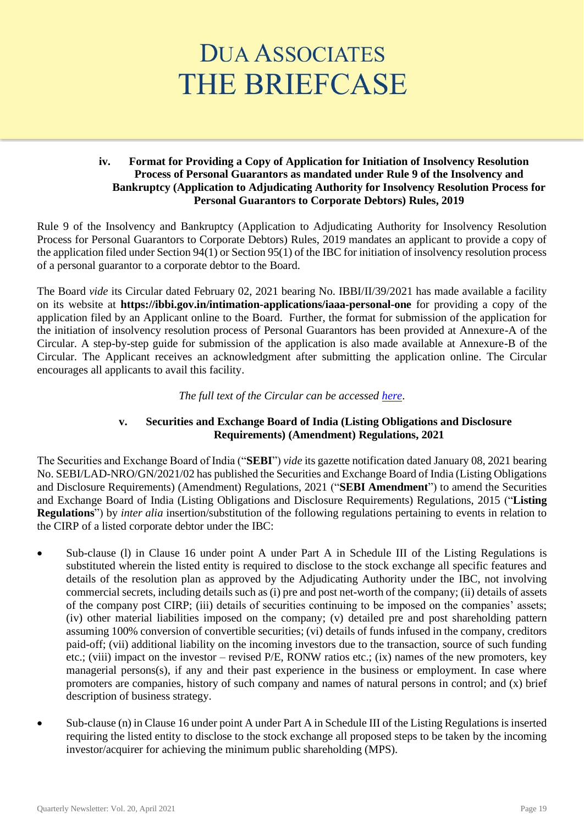### **iv. Format for Providing a Copy of Application for Initiation of Insolvency Resolution Process of Personal Guarantors as mandated under Rule 9 of the Insolvency and Bankruptcy (Application to Adjudicating Authority for Insolvency Resolution Process for Personal Guarantors to Corporate Debtors) Rules, 2019**

Rule 9 of the Insolvency and Bankruptcy (Application to Adjudicating Authority for Insolvency Resolution Process for Personal Guarantors to Corporate Debtors) Rules, 2019 mandates an applicant to provide a copy of the application filed under Section 94(1) or Section 95(1) of the IBC for initiation of insolvency resolution process of a personal guarantor to a corporate debtor to the Board.

The Board *vide* its Circular dated February 02, 2021 bearing No. IBBI/II/39/2021 has made available a facility on its website at **https://ibbi.gov.in/intimation-applications/iaaa-personal-one** for providing a copy of the application filed by an Applicant online to the Board. Further, the format for submission of the application for the initiation of insolvency resolution process of Personal Guarantors has been provided at Annexure-A of the Circular. A step-by-step guide for submission of the application is also made available at Annexure-B of the Circular. The Applicant receives an acknowledgment after submitting the application online. The Circular encourages all applicants to avail this facility.

*The full text of the Circular can be accessed [here](https://ibbi.gov.in/uploads/legalframwork/8d38ca4dc37264636b22daa2a3c637ba.pdf)*.

## **v. Securities and Exchange Board of India (Listing Obligations and Disclosure Requirements) (Amendment) Regulations, 2021**

The Securities and Exchange Board of India ("**SEBI**") *vide* its gazette notification dated January 08, 2021 bearing No. SEBI/LAD-NRO/GN/2021/02 has published the Securities and Exchange Board of India (Listing Obligations and Disclosure Requirements) (Amendment) Regulations, 2021 ("**SEBI Amendment**") to amend the Securities and Exchange Board of India (Listing Obligations and Disclosure Requirements) Regulations, 2015 ("**Listing Regulations**") by *inter alia* insertion/substitution of the following regulations pertaining to events in relation to the CIRP of a listed corporate debtor under the IBC:

- Sub-clause (1) in Clause 16 under point A under Part A in Schedule III of the Listing Regulations is substituted wherein the listed entity is required to disclose to the stock exchange all specific features and details of the resolution plan as approved by the Adjudicating Authority under the IBC, not involving commercial secrets, including details such as (i) pre and post net-worth of the company; (ii) details of assets of the company post CIRP; (iii) details of securities continuing to be imposed on the companies' assets; (iv) other material liabilities imposed on the company; (v) detailed pre and post shareholding pattern assuming 100% conversion of convertible securities; (vi) details of funds infused in the company, creditors paid-off; (vii) additional liability on the incoming investors due to the transaction, source of such funding etc.; (viii) impact on the investor – revised P/E, RONW ratios etc.; (ix) names of the new promoters, key managerial persons(s), if any and their past experience in the business or employment. In case where promoters are companies, history of such company and names of natural persons in control; and (x) brief description of business strategy.
- Sub-clause (n) in Clause 16 under point A under Part A in Schedule III of the Listing Regulations is inserted requiring the listed entity to disclose to the stock exchange all proposed steps to be taken by the incoming investor/acquirer for achieving the minimum public shareholding (MPS).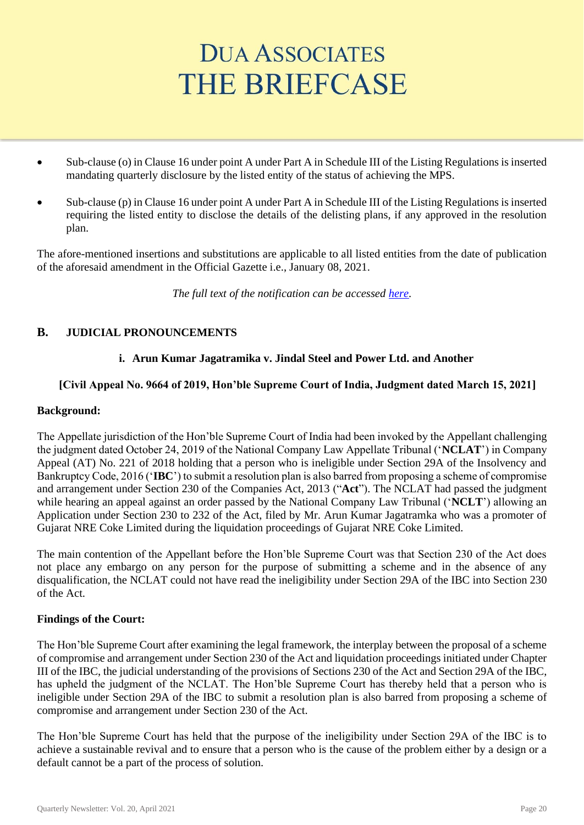- Sub-clause (o) in Clause 16 under point A under Part A in Schedule III of the Listing Regulations is inserted mandating quarterly disclosure by the listed entity of the status of achieving the MPS.
- Sub-clause (p) in Clause 16 under point A under Part A in Schedule III of the Listing Regulations is inserted requiring the listed entity to disclose the details of the delisting plans, if any approved in the resolution plan.

The afore-mentioned insertions and substitutions are applicable to all listed entities from the date of publication of the aforesaid amendment in the Official Gazette i.e., January 08, 2021.

*The full text of the notification can be accessed [here.](https://ibbi.gov.in/uploads/legalframwork/21bbf8cfb5223cf8370c8c4631508e38.pdf)*

# **B. JUDICIAL PRONOUNCEMENTS**

# **i. Arun Kumar Jagatramika v. Jindal Steel and Power Ltd. and Another**

## **[Civil Appeal No. 9664 of 2019, Hon'ble Supreme Court of India, Judgment dated March 15, 2021]**

## **Background:**

The Appellate jurisdiction of the Hon'ble Supreme Court of India had been invoked by the Appellant challenging the judgment dated October 24, 2019 of the National Company Law Appellate Tribunal ('**NCLAT**') in Company Appeal (AT) No. 221 of 2018 holding that a person who is ineligible under Section 29A of the Insolvency and Bankruptcy Code, 2016 ('**IBC**') to submit a resolution plan is also barred from proposing a scheme of compromise and arrangement under Section 230 of the Companies Act, 2013 ("**Act**"). The NCLAT had passed the judgment while hearing an appeal against an order passed by the National Company Law Tribunal ('**NCLT**') allowing an Application under Section 230 to 232 of the Act, filed by Mr. Arun Kumar Jagatramka who was a promoter of Gujarat NRE Coke Limited during the liquidation proceedings of Gujarat NRE Coke Limited.

The main contention of the Appellant before the Hon'ble Supreme Court was that Section 230 of the Act does not place any embargo on any person for the purpose of submitting a scheme and in the absence of any disqualification, the NCLAT could not have read the ineligibility under Section 29A of the IBC into Section 230 of the Act.

## **Findings of the Court:**

The Hon'ble Supreme Court after examining the legal framework, the interplay between the proposal of a scheme of compromise and arrangement under Section 230 of the Act and liquidation proceedings initiated under Chapter III of the IBC, the judicial understanding of the provisions of Sections 230 of the Act and Section 29A of the IBC, has upheld the judgment of the NCLAT. The Hon'ble Supreme Court has thereby held that a person who is ineligible under Section 29A of the IBC to submit a resolution plan is also barred from proposing a scheme of compromise and arrangement under Section 230 of the Act.

The Hon'ble Supreme Court has held that the purpose of the ineligibility under Section 29A of the IBC is to achieve a sustainable revival and to ensure that a person who is the cause of the problem either by a design or a default cannot be a part of the process of solution.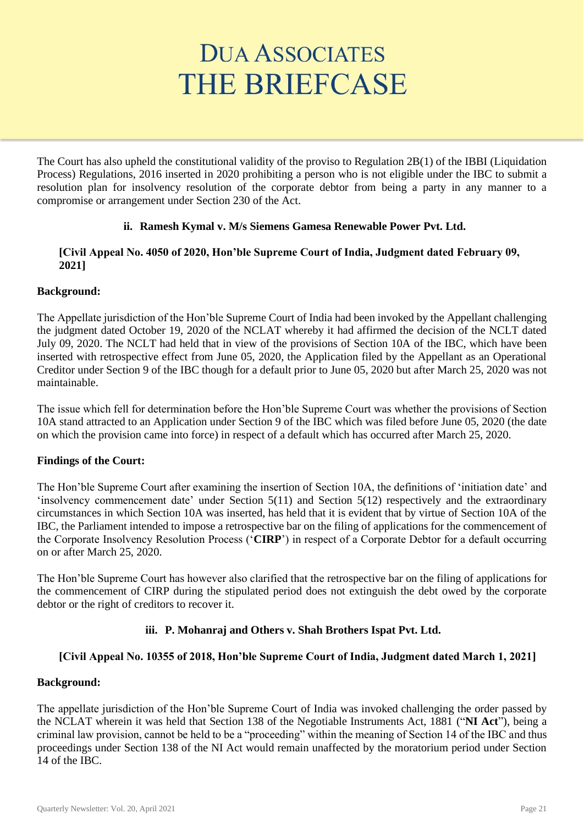The Court has also upheld the constitutional validity of the proviso to Regulation 2B(1) of the IBBI (Liquidation Process) Regulations, 2016 inserted in 2020 prohibiting a person who is not eligible under the IBC to submit a resolution plan for insolvency resolution of the corporate debtor from being a party in any manner to a compromise or arrangement under Section 230 of the Act.

## **ii. Ramesh Kymal v. M/s Siemens Gamesa Renewable Power Pvt. Ltd.**

### **[Civil Appeal No. 4050 of 2020, Hon'ble Supreme Court of India, Judgment dated February 09, 2021]**

## **Background:**

The Appellate jurisdiction of the Hon'ble Supreme Court of India had been invoked by the Appellant challenging the judgment dated October 19, 2020 of the NCLAT whereby it had affirmed the decision of the NCLT dated July 09, 2020. The NCLT had held that in view of the provisions of Section 10A of the IBC, which have been inserted with retrospective effect from June 05, 2020, the Application filed by the Appellant as an Operational Creditor under Section 9 of the IBC though for a default prior to June 05, 2020 but after March 25, 2020 was not maintainable.

The issue which fell for determination before the Hon'ble Supreme Court was whether the provisions of Section 10A stand attracted to an Application under Section 9 of the IBC which was filed before June 05, 2020 (the date on which the provision came into force) in respect of a default which has occurred after March 25, 2020.

## **Findings of the Court:**

The Hon'ble Supreme Court after examining the insertion of Section 10A, the definitions of 'initiation date' and 'insolvency commencement date' under Section 5(11) and Section 5(12) respectively and the extraordinary circumstances in which Section 10A was inserted, has held that it is evident that by virtue of Section 10A of the IBC, the Parliament intended to impose a retrospective bar on the filing of applications for the commencement of the Corporate Insolvency Resolution Process ('**CIRP**') in respect of a Corporate Debtor for a default occurring on or after March 25, 2020.

The Hon'ble Supreme Court has however also clarified that the retrospective bar on the filing of applications for the commencement of CIRP during the stipulated period does not extinguish the debt owed by the corporate debtor or the right of creditors to recover it.

# **iii. P. Mohanraj and Others v. Shah Brothers Ispat Pvt. Ltd.**

# **[Civil Appeal No. 10355 of 2018, Hon'ble Supreme Court of India, Judgment dated March 1, 2021]**

## **Background:**

The appellate jurisdiction of the Hon'ble Supreme Court of India was invoked challenging the order passed by the NCLAT wherein it was held that Section 138 of the Negotiable Instruments Act, 1881 ("**NI Act**"), being a criminal law provision, cannot be held to be a "proceeding" within the meaning of Section 14 of the IBC and thus proceedings under Section 138 of the NI Act would remain unaffected by the moratorium period under Section 14 of the IBC.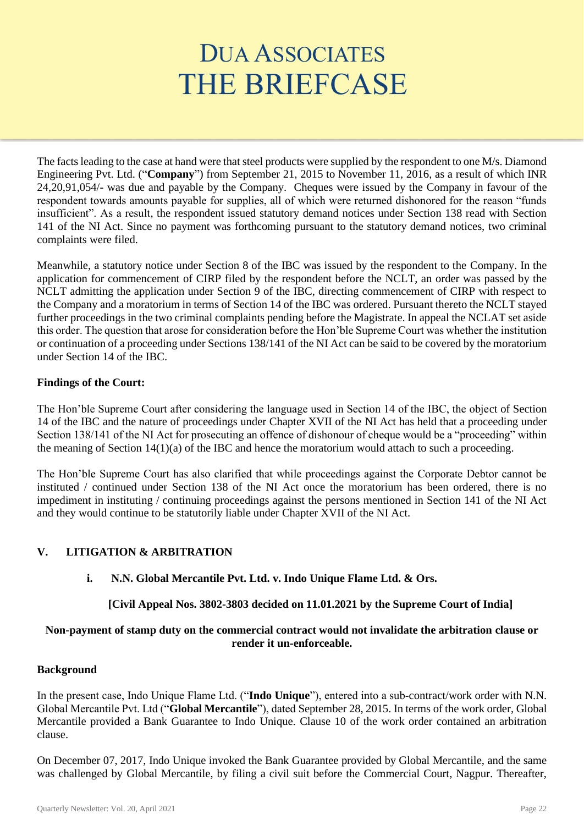The facts leading to the case at hand were that steel products were supplied by the respondent to one M/s. Diamond Engineering Pvt. Ltd. ("**Company**") from September 21, 2015 to November 11, 2016, as a result of which INR 24,20,91,054/- was due and payable by the Company. Cheques were issued by the Company in favour of the respondent towards amounts payable for supplies, all of which were returned dishonored for the reason "funds insufficient". As a result, the respondent issued statutory demand notices under Section 138 read with Section 141 of the NI Act. Since no payment was forthcoming pursuant to the statutory demand notices, two criminal complaints were filed.

Meanwhile, a statutory notice under Section 8 of the IBC was issued by the respondent to the Company. In the application for commencement of CIRP filed by the respondent before the NCLT, an order was passed by the NCLT admitting the application under Section 9 of the IBC, directing commencement of CIRP with respect to the Company and a moratorium in terms of Section 14 of the IBC was ordered. Pursuant thereto the NCLT stayed further proceedings in the two criminal complaints pending before the Magistrate. In appeal the NCLAT set aside this order. The question that arose for consideration before the Hon'ble Supreme Court was whether the institution or continuation of a proceeding under Sections 138/141 of the NI Act can be said to be covered by the moratorium under Section 14 of the IBC.

## **Findings of the Court:**

The Hon'ble Supreme Court after considering the language used in Section 14 of the IBC, the object of Section 14 of the IBC and the nature of proceedings under Chapter XVII of the NI Act has held that a proceeding under Section 138/141 of the NI Act for prosecuting an offence of dishonour of cheque would be a "proceeding" within the meaning of Section 14(1)(a) of the IBC and hence the moratorium would attach to such a proceeding.

The Hon'ble Supreme Court has also clarified that while proceedings against the Corporate Debtor cannot be instituted / continued under Section 138 of the NI Act once the moratorium has been ordered, there is no impediment in instituting / continuing proceedings against the persons mentioned in Section 141 of the NI Act and they would continue to be statutorily liable under Chapter XVII of the NI Act.

# **V. LITIGATION & ARBITRATION**

## **i. N.N. Global Mercantile Pvt. Ltd. v. Indo Unique Flame Ltd. & Ors.**

## **[Civil Appeal Nos. 3802-3803 decided on 11.01.2021 by the Supreme Court of India]**

# **Non-payment of stamp duty on the commercial contract would not invalidate the arbitration clause or render it un-enforceable.**

## **Background**

In the present case, Indo Unique Flame Ltd. ("**Indo Unique**"), entered into a sub-contract/work order with N.N. Global Mercantile Pvt. Ltd ("**Global Mercantile**"), dated September 28, 2015. In terms of the work order, Global Mercantile provided a Bank Guarantee to Indo Unique. Clause 10 of the work order contained an arbitration clause.

On December 07, 2017, Indo Unique invoked the Bank Guarantee provided by Global Mercantile, and the same was challenged by Global Mercantile, by filing a civil suit before the Commercial Court, Nagpur. Thereafter,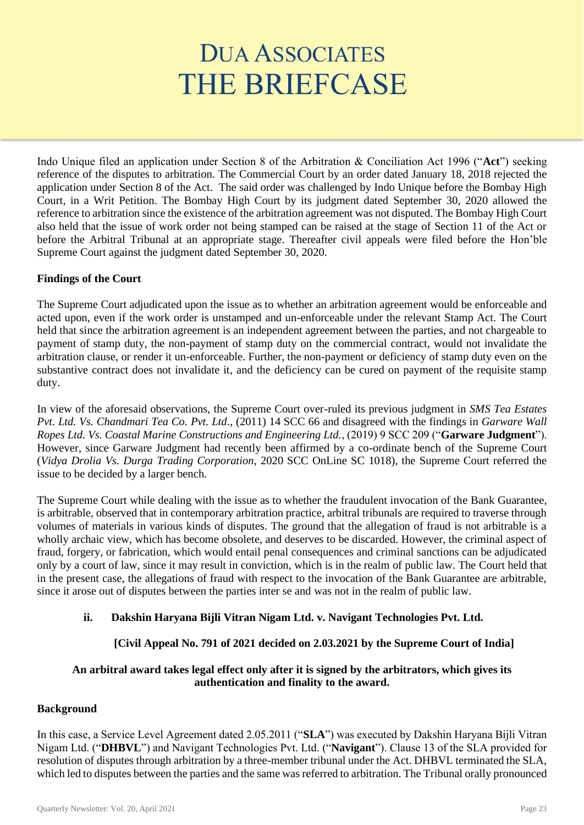Indo Unique filed an application under Section 8 of the Arbitration & Conciliation Act 1996 ("**Act**") seeking reference of the disputes to arbitration. The Commercial Court by an order dated January 18, 2018 rejected the application under Section 8 of the Act. The said order was challenged by Indo Unique before the Bombay High Court, in a Writ Petition. The Bombay High Court by its judgment dated September 30, 2020 allowed the reference to arbitration since the existence of the arbitration agreement was not disputed. The Bombay High Court also held that the issue of work order not being stamped can be raised at the stage of Section 11 of the Act or before the Arbitral Tribunal at an appropriate stage. Thereafter civil appeals were filed before the Hon'ble Supreme Court against the judgment dated September 30, 2020.

## **Findings of the Court**

The Supreme Court adjudicated upon the issue as to whether an arbitration agreement would be enforceable and acted upon, even if the work order is unstamped and un-enforceable under the relevant Stamp Act. The Court held that since the arbitration agreement is an independent agreement between the parties, and not chargeable to payment of stamp duty, the non-payment of stamp duty on the commercial contract, would not invalidate the arbitration clause, or render it un-enforceable. Further, the non-payment or deficiency of stamp duty even on the substantive contract does not invalidate it, and the deficiency can be cured on payment of the requisite stamp duty.

In view of the aforesaid observations, the Supreme Court over-ruled its previous judgment in *SMS Tea Estates Pvt. Ltd. Vs. Chandmari Tea Co. Pvt. Ltd*., (2011) 14 SCC 66 and disagreed with the findings in *Garware Wall Ropes Ltd. Vs. Coastal Marine Constructions and Engineering Ltd.*, (2019) 9 SCC 209 ("**Garware Judgment**"). However, since Garware Judgment had recently been affirmed by a co-ordinate bench of the Supreme Court (*Vidya Drolia Vs. Durga Trading Corporation*, 2020 SCC OnLine SC 1018), the Supreme Court referred the issue to be decided by a larger bench.

The Supreme Court while dealing with the issue as to whether the fraudulent invocation of the Bank Guarantee, is arbitrable, observed that in contemporary arbitration practice, arbitral tribunals are required to traverse through volumes of materials in various kinds of disputes. The ground that the allegation of fraud is not arbitrable is a wholly archaic view, which has become obsolete, and deserves to be discarded. However, the criminal aspect of fraud, forgery, or fabrication, which would entail penal consequences and criminal sanctions can be adjudicated only by a court of law, since it may result in conviction, which is in the realm of public law. The Court held that in the present case, the allegations of fraud with respect to the invocation of the Bank Guarantee are arbitrable, since it arose out of disputes between the parties inter se and was not in the realm of public law.

# **ii. Dakshin Haryana Bijli Vitran Nigam Ltd. v. Navigant Technologies Pvt. Ltd.**

# **[Civil Appeal No. 791 of 2021 decided on 2.03.2021 by the Supreme Court of India]**

## **An arbitral award takes legal effect only after it is signed by the arbitrators, which gives its authentication and finality to the award.**

## **Background**

In this case, a Service Level Agreement dated 2.05.2011 ("**SLA**") was executed by Dakshin Haryana Bijli Vitran Nigam Ltd. ("**DHBVL**") and Navigant Technologies Pvt. Ltd. ("**Navigant**"). Clause 13 of the SLA provided for resolution of disputes through arbitration by a three-member tribunal under the Act. DHBVL terminated the SLA, which led to disputes between the parties and the same was referred to arbitration. The Tribunal orally pronounced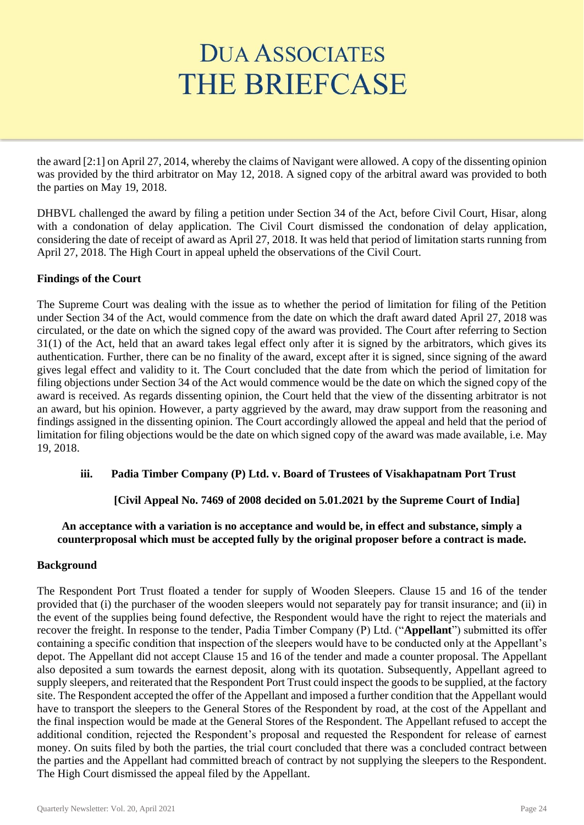the award [2:1] on April 27, 2014, whereby the claims of Navigant were allowed. A copy of the dissenting opinion was provided by the third arbitrator on May 12, 2018. A signed copy of the arbitral award was provided to both the parties on May 19, 2018.

DHBVL challenged the award by filing a petition under Section 34 of the Act, before Civil Court, Hisar, along with a condonation of delay application. The Civil Court dismissed the condonation of delay application, considering the date of receipt of award as April 27, 2018. It was held that period of limitation starts running from April 27, 2018. The High Court in appeal upheld the observations of the Civil Court.

## **Findings of the Court**

The Supreme Court was dealing with the issue as to whether the period of limitation for filing of the Petition under Section 34 of the Act, would commence from the date on which the draft award dated April 27, 2018 was circulated, or the date on which the signed copy of the award was provided. The Court after referring to Section 31(1) of the Act, held that an award takes legal effect only after it is signed by the arbitrators, which gives its authentication. Further, there can be no finality of the award, except after it is signed, since signing of the award gives legal effect and validity to it. The Court concluded that the date from which the period of limitation for filing objections under Section 34 of the Act would commence would be the date on which the signed copy of the award is received. As regards dissenting opinion, the Court held that the view of the dissenting arbitrator is not an award, but his opinion. However, a party aggrieved by the award, may draw support from the reasoning and findings assigned in the dissenting opinion. The Court accordingly allowed the appeal and held that the period of limitation for filing objections would be the date on which signed copy of the award was made available, i.e. May 19, 2018.

## **iii. Padia Timber Company (P) Ltd. v. Board of Trustees of Visakhapatnam Port Trust**

## **[Civil Appeal No. 7469 of 2008 decided on 5.01.2021 by the Supreme Court of India]**

## **An acceptance with a variation is no acceptance and would be, in effect and substance, simply a counterproposal which must be accepted fully by the original proposer before a contract is made.**

## **Background**

The Respondent Port Trust floated a tender for supply of Wooden Sleepers. Clause 15 and 16 of the tender provided that (i) the purchaser of the wooden sleepers would not separately pay for transit insurance; and (ii) in the event of the supplies being found defective, the Respondent would have the right to reject the materials and recover the freight. In response to the tender, Padia Timber Company (P) Ltd. ("**Appellant**") submitted its offer containing a specific condition that inspection of the sleepers would have to be conducted only at the Appellant's depot. The Appellant did not accept Clause 15 and 16 of the tender and made a counter proposal. The Appellant also deposited a sum towards the earnest deposit, along with its quotation. Subsequently, Appellant agreed to supply sleepers, and reiterated that the Respondent Port Trust could inspect the goods to be supplied, at the factory site. The Respondent accepted the offer of the Appellant and imposed a further condition that the Appellant would have to transport the sleepers to the General Stores of the Respondent by road, at the cost of the Appellant and the final inspection would be made at the General Stores of the Respondent. The Appellant refused to accept the additional condition, rejected the Respondent's proposal and requested the Respondent for release of earnest money. On suits filed by both the parties, the trial court concluded that there was a concluded contract between the parties and the Appellant had committed breach of contract by not supplying the sleepers to the Respondent. The High Court dismissed the appeal filed by the Appellant.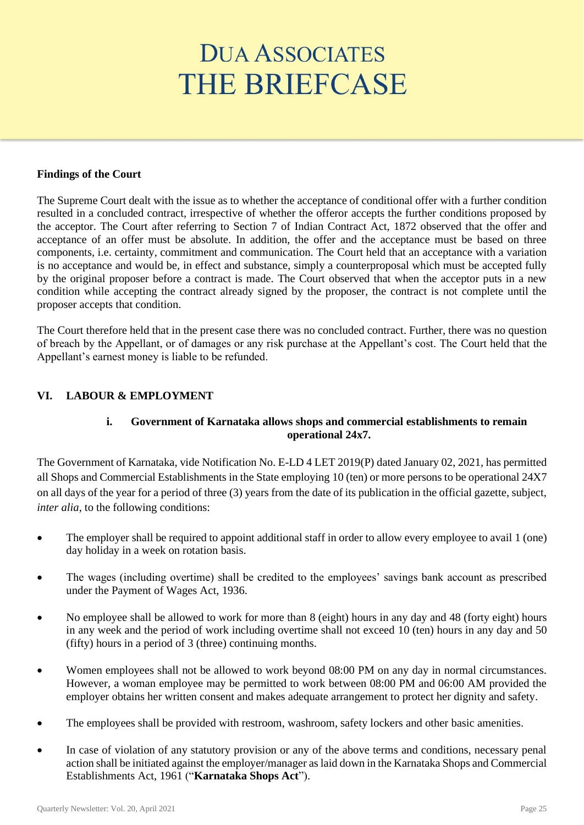#### **Findings of the Court**

The Supreme Court dealt with the issue as to whether the acceptance of conditional offer with a further condition resulted in a concluded contract, irrespective of whether the offeror accepts the further conditions proposed by the acceptor. The Court after referring to Section 7 of Indian Contract Act, 1872 observed that the offer and acceptance of an offer must be absolute. In addition, the offer and the acceptance must be based on three components, i.e. certainty, commitment and communication. The Court held that an acceptance with a variation is no acceptance and would be, in effect and substance, simply a counterproposal which must be accepted fully by the original proposer before a contract is made. The Court observed that when the acceptor puts in a new condition while accepting the contract already signed by the proposer, the contract is not complete until the proposer accepts that condition.

The Court therefore held that in the present case there was no concluded contract. Further, there was no question of breach by the Appellant, or of damages or any risk purchase at the Appellant's cost. The Court held that the Appellant's earnest money is liable to be refunded.

## **VI. LABOUR & EMPLOYMENT**

## **i. Government of Karnataka allows shops and commercial establishments to remain operational 24x7.**

The Government of Karnataka, vide Notification No. E-LD 4 LET 2019(P) dated January 02, 2021, has permitted all Shops and Commercial Establishments in the State employing 10 (ten) or more persons to be operational 24X7 on all days of the year for a period of three (3) years from the date of its publication in the official gazette, subject, *inter alia*, to the following conditions:

- The employer shall be required to appoint additional staff in order to allow every employee to avail 1 (one) day holiday in a week on rotation basis.
- The wages (including overtime) shall be credited to the employees' savings bank account as prescribed under the Payment of Wages Act, 1936.
- No employee shall be allowed to work for more than 8 (eight) hours in any day and 48 (forty eight) hours in any week and the period of work including overtime shall not exceed 10 (ten) hours in any day and 50 (fifty) hours in a period of 3 (three) continuing months.
- Women employees shall not be allowed to work beyond 08:00 PM on any day in normal circumstances. However, a woman employee may be permitted to work between 08:00 PM and 06:00 AM provided the employer obtains her written consent and makes adequate arrangement to protect her dignity and safety.
- The employees shall be provided with restroom, washroom, safety lockers and other basic amenities.
- In case of violation of any statutory provision or any of the above terms and conditions, necessary penal action shall be initiated against the employer/manager as laid down in the Karnataka Shops and Commercial Establishments Act, 1961 ("**Karnataka Shops Act**").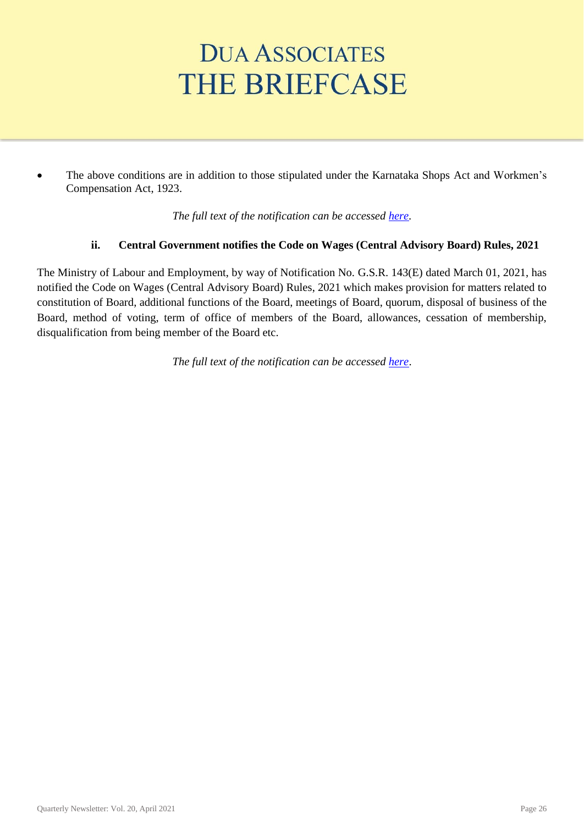• The above conditions are in addition to those stipulated under the Karnataka Shops Act and Workmen's Compensation Act, 1923.

*The full text of the notification can be accessed [here.](https://archanabala.files.wordpress.com/2021/01/karnataka-shops-and-establishment-permitted-to-remain-open-24x7-days-for-next-three-years.pdf)*

## **ii. Central Government notifies the Code on Wages (Central Advisory Board) Rules, 2021**

The Ministry of Labour and Employment, by way of Notification No. G.S.R. 143(E) dated March 01, 2021, has notified the Code on Wages (Central Advisory Board) Rules, 2021 which makes provision for matters related to constitution of Board, additional functions of the Board, meetings of Board, quorum, disposal of business of the Board, method of voting, term of office of members of the Board, allowances, cessation of membership, disqualification from being member of the Board etc.

*The full text of the notification can be accessed [here](http://egazette.nic.in/WriteReadData/2021/225569.pdf)*.